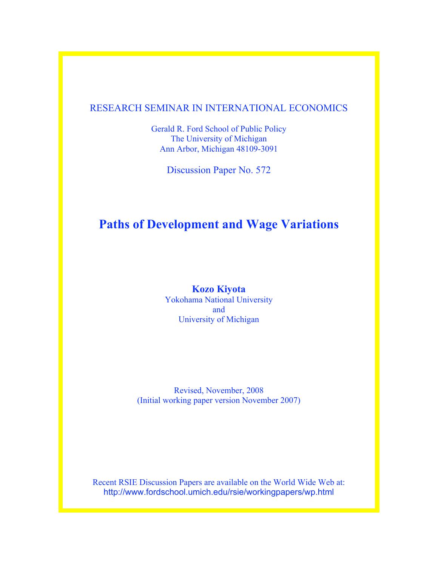## RESEARCH SEMINAR IN INTERNATIONAL ECONOMICS

Gerald R. Ford School of Public Policy The University of Michigan Ann Arbor, Michigan 48109-3091

Discussion Paper No. 572

# **Paths of Development and Wage Variations**

**Kozo Kiyota** Yokohama National University and University of Michigan

Revised, November, 2008 (Initial working paper version November 2007)

Recent RSIE Discussion Papers are available on the World Wide Web at: http://www.fordschool.umich.edu/rsie/workingpapers/wp.html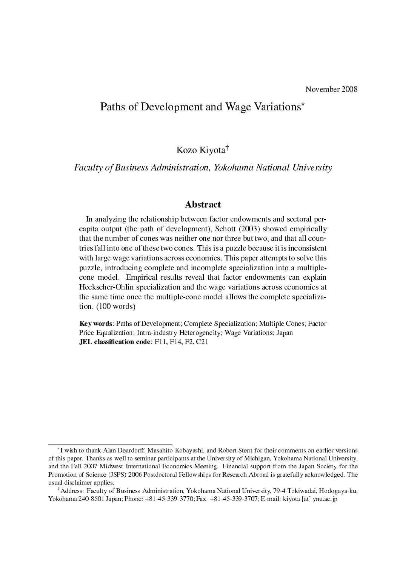# Paths of Development and Wage Variations

Kozo Kiyota

Faculty of Business Administration, Yokohama National University

## **Abstract**

In analyzing the relationship between factor endowments and sectoral percapita output (the path of development), Schott (2003) showed empirically that the number of ones was neither one nor three but two, and that all ountries fall into one of these two cones. This is a puzzle because it is inconsistent with large wage variations across economies. This paper attempts to solve this puzzle, introducing complete and incomplete specialization into a multiplecone model. Empirical results reveal that factor endowments can explain Heckscher-Ohlin specialization and the wage variations across economies at the same time once the multiple-cone model allows the complete specialization. (100 words)

Key words: Paths of Development; Complete Specialization; Multiple Cones; Factor Pri
e Equalization; Intra-industry Heterogeneity; Wage Variations; Japan JEL lassi-ation ode: F11, F14, F2, C21

I wish to thank Alan Deardorff, Masahito Kobayashi, and Robert Stern for their omments on earlier versions of this paper. Thanks as well to seminar participants at the University of Michigan, Yokohama National University, and the Fall 2007 Midwest International Economics Meeting. Financial support from the Japan Society for the Promotion of Science (JSPS) 2006 Postdoctoral Fellowships for Research Abroad is gratefully acknowledged. The usual dis
laimer applies.

Address: Fa
ulty of Business Administration, Yokohama National University, 79-4 Tokiwadai, Hodogaya-ku, Yokohama 240-8501 Japan; Phone: +81-45-339-3770; Fax: +81-45-339-3707; E-mail: kiyota [at] ynu.ac.jp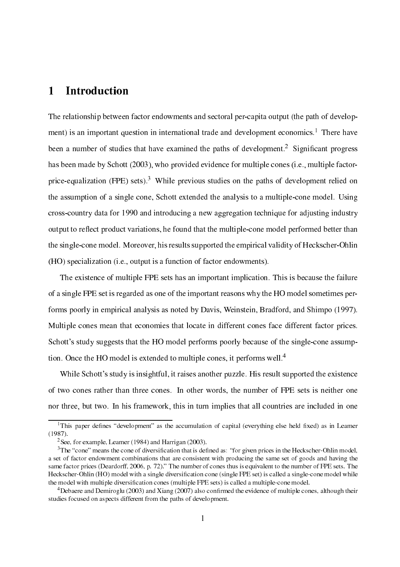#### **Introduction** 1

The relationship between factor endowments and sectoral per-capita output (the path of development) is an important question in international trade and development e
onomi
s.1 There have been a number of studies that have examined the paths of development. Significant progress has been made by Schott (2003), who provided evidence for multiple cones (i.e., multiple factorprice-equalization (FPE) sets).<sup>3</sup> While previous studies on the paths of development relied on the assumption of a single cone. Schott extended the analysis to a multiple-cone model. Using rossountry data for 1990 and introdu
ing a new aggregation te
hnique for adjusting industry output to reflect product variations, he found that the multiple-cone model performed better than the singleone model. Moreover, his results supported the empiri
al validity of He
ks
her-Ohlin (HO) specialization (i.e., output is a function of factor endowments).

The existence of multiple FPE sets has an important implication. This is because the failure of a single FPE set is regarded as one of the important reasons why the HO model sometimes performs poorly in empirical analysis as noted by Davis, Weinstein, Bradford, and Shimpo (1997). Multiple cones mean that economies that locate in different cones face different factor prices. Schott's study suggests that the HO model performs poorly because of the single-cone assumption. Once the HO model is extended to multiple cones, it performs well.<sup>4</sup>

While Schott's study is insightful, it raises another puzzle. His result supported the existence of two ones rather than three ones. In other words, the number of FPE sets is neither one nor three, but two. In his framework, this in turn implies that all ountries are in
luded in one

This paper defines - development - as the accumulation of capital (everything else field fixed) as in Leamer (1987).

<sup>2</sup> See, for example, Leamer (1984) and Harrigan (2003).

The cone means the cone of diversification that is defined as: for given prices in the Heckscher-Ohlin model, a set of factor endowment combinations that are consistent with producing the same set of goods and having the same factor prices (Deardorff, 2006, p. 72)." The number of cones thus is equivalent to the number of FPE sets. The He
ks
her-Ohlin (HO) model with a single diversi-ation one (single FPE set) is alled a singleone model while one model with multiple at the modelling country, pressure from the modelling part of the sets and control to

 $\sim$  Debaere and Demirogiu (2003) and Alang (2007) also confirmed the evidence of multiple cones, although their studies focused on aspects different from the paths of development.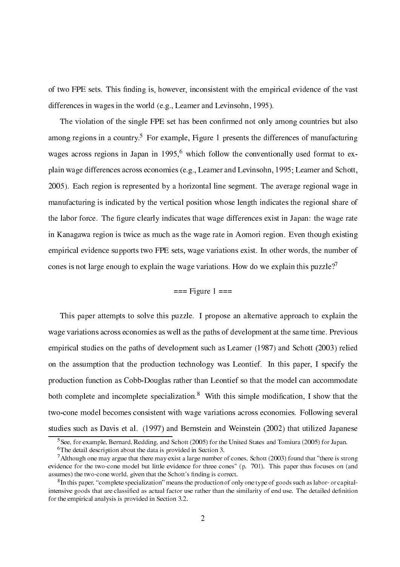of two FPE sets. This -nding is, however, in
onsistent with the empiri
al eviden
e of the vast differen
es in wages in the world (e.g., Leamer and Levinsohn, 1995).

The violation of the single FPE set has been on-rmed not only among ountries but also among regions in a country. For example, Figure 1 presents the differences of manufacturing wages across regions in Japan in 1995,<sup>6</sup> which follow the conventionally used format to explain wage differences across economies (e.g., Leamer and Levinsohn, 1995; Leamer and Schott, 2005). Ea
h region is represented by a horizontal line segment. The average regional wage in manufacturing is indicated by the vertical position whose length indicates the regional share of the labor for
e. The -gure learly indi
ates that wage differen
es exist in Japan: the wage rate in Kanagawa region is twi
e as mu
h as the wage rate in Aomori region. Even though existing empirical evidence supports two FPE sets, wage variations exist. In other words, the number of cones is not large enough to explain the wage variations. How do we explain this puzzle?<sup>7</sup>

## $==$  Figure  $1 ==$

This paper attempts to solve this puzzle. I propose an alternative approach to explain the wage variations across economies as well as the paths of development at the same time. Previous empirical studies on the paths of development such as Leamer (1987) and Schott (2003) relied on the assumption that the production technology was Leontief. In this paper, I specify the production function as Cobb-Douglas rather than Leontief so that the model can accommodate both complete and incomplete specialization." With this simple modification, I show that the two-cone model becomes consistent with wage variations across economies. Following several studies su
h as Davis et al. (1997) and Bernstein and Weinstein (2002) that utilized Japanese

<sup>5</sup> See, for example, Bernard, Redding, and S
hott (2005) for the United States and Tomiura (2005) for Japan.

the detail description about the data is provided in Section 3.

<sup>7</sup> Although one may argue that there may exist a large number of ones, S
hott (2003) found that "there is strong evidence for the two-cone model but little evidence for three cones" (p. 701). This paper thus focuses on (and assumes) the two-cone world, given that the Schott's finding is correct.

In this paper, complete specialization imeans the production of only one type of goods such as labor- or capitalensive grave man that considers the similar than the similar man than the similarly at the similar rathermore for the empirical analysis is provided in Section 3.2.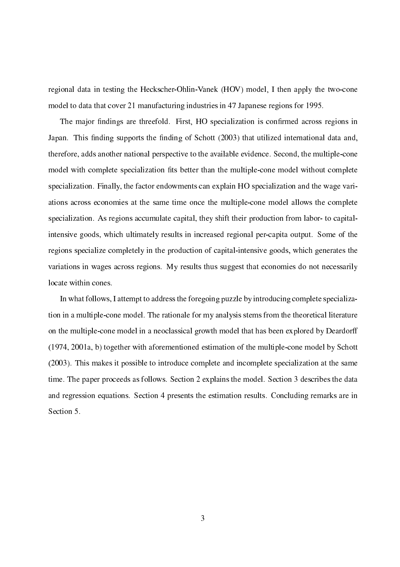regional data in testing the Heckscher-Ohlin-Vanek (HOV) model, I then apply the two-cone model to data that cover 21 manufacturing industries in 47 Japanese regions for 1995.

the complete continuity are threefold. First, Ho specification is completed at the specific complete  $\mathbb{R}^n$ Japan. This -nding supports the -nding of S
hott (2003) that utilized international data and, therefore, adds another national perspective to the available evidence. Second, the multiple-cone model with omplete spe
ialization -ts better than the multipleone model without omplete specialization. Finally, the factor endowments can explain HO specialization and the wage variations a
ross e
onomies at the same time on
e the multipleone model allows the omplete specialization. As regions accumulate capital, they shift their production from labor- to capitalintensive goods, which ultimately results in increased regional per-capita output. Some of the regions specialize completely in the production of capital-intensive goods, which generates the variations in wages across regions. My results thus suggest that economies do not necessarily locate within cones.

In what follows, I attempt to address the foregoing puzzle by introducing complete specialization in a multiple-cone model. The rationale for my analysis stems from the theoretical literature on the multipleone model in a neo
lassi
al growth model that has been explored by Deardorff (1974, 2001a, b) together with aforementioned estimation of the multipleone model by S
hott (2003). This makes it possible to introduce complete and incomplete specialization at the same time. The paper proceeds as follows. Section 2 explains the model. Section 3 describes the data and regression equations. Section 4 presents the estimation results. Concluding remarks are in Section 5.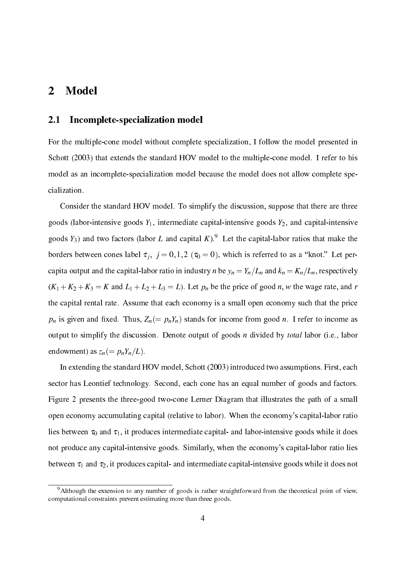# 2 Model

## 2.1 In
omplete-spe
ialization model

For the multiple-cone model without complete specialization, I follow the model presented in Schott (2003) that extends the standard HOV model to the multiple-cone model. I refer to his model as an incomplete-specialization model because the model does not allow complete specialization.

Consider the standard HOV model. To simplify the discussion, suppose that there are three goods (labor-intensive goods  $Y_1$ , intermediate capital-intensive goods  $Y_2$ , and capital-intensive goods 13) and two factors (fabor L and capital K). Let the capital-labor fatios that make the borders between the transferred  $\mu$  ;  $j$  ,  $j$  ,  $j$  ,  $\mu$  ,  $\mu$  ,  $\mu$  ,  $\mu$  ,  $\mu$  ,  $\mu$  ,  $\mu$  ,  $\mu$  ,  $\mu$  ,  $\mu$  ,  $\mu$  ,  $\mu$  ,  $\mu$  ,  $\mu$  ,  $\mu$  ,  $\mu$  ,  $\mu$  ,  $\mu$  ,  $\mu$  ,  $\mu$  ,  $\mu$  ,  $\mu$  ,  $\mu$  ,  $\mu$ appears the put and the component constant for the component  $\mu$  and  $\mu$   $\mu$   $\mu$  and  $\mu$  and  $\mu$   $\mu$  and  $\mu$  and  $\mu$  $(K_1 + K_2 + K_3 = K$  and  $L_1 + L_2 + L_3 = L$ ). Let  $p_n$  be the price of good n, w the wage rate, and r the capital rental rate. Assume that each economy is a small open economy such that the price  $\mu$  is given and direction  $\mu$   $\mu$  . If  $\mu$  is a contract to interval for intervals for intervals and output to simplify the discussion. Denote output of goods  $n$  divided by *total* labor (i.e., labor endowment) as  $z_n (= p_n Y_n/L)$ .

In extending the standard HOV model, Schott (2003) introduced two assumptions. First, each sector has Leontief technology. Second, each cone has an equal number of goods and factors. Figure 2 presents the three-good twoone Lerner Diagram that illustrates the path of a small open economy accumulating capital (relative to labor). When the economy's capital-labor ratio lies between  $\tau_0$  and  $\tau_1$ , it produces intermediate capital- and labor-intensive goods while it does not produce any capital-intensive goods. Similarly, when the economy's capital-labor ratio lies between  $\tau_1$  and  $\tau_2$ , it produces capital- and intermediate capital-intensive goods while it does not

<sup>&</sup>lt;sup>9</sup>Although the extension to any number of goods is rather straightforward from the theoretical point of view, omputational onstraints prevent estimating more than three goods.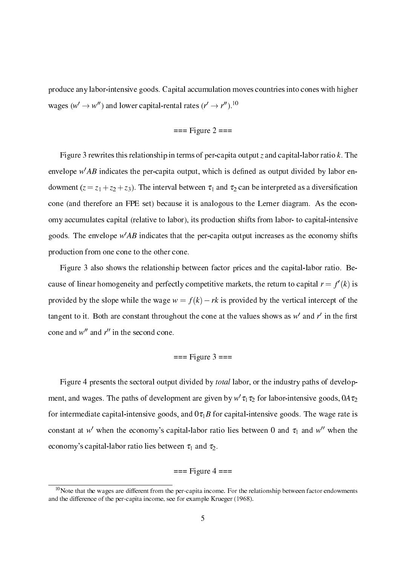produce any labor-intensive goods. Capital accumulation moves countries into cones with higher wages ( $w \to w$ ) and lower capital-rental rates ( $r \to r$ ).

$$
=
$$
 = Figure 2  $=$ 

Figure 3 rewrites this relationship in terms of per-capita output z and capital-labor ratio  $k$ . The envelope  $w$  ab indicates the per-capita output, which is defined as output divided by fabor enation the interval between the interval between the interval and t2 and t3 and t3 and t3 and t3 and t3 and t3 cone (and therefore an FPE set) because it is analogous to the Lerner diagram. As the economy accumulates capital (relative to labor), its production shifts from labor- to capital-intensive goods. The envelope  $WAD$  indicates that the per-capita output increases as the economy shifts production from one cone to the other cone.

Figure 3 also shows the relationship between factor prices and the capital-labor ratio. Because of finear homogeneity and perfectly competitive markets, the return to capital  $r = f(x)$  is provided by the slope while the wage  $w = f(k) - rk$  is provided by the vertical intercept of the tangem to it. Bout are constant urroughout the cone at the values shows as we and relifficition cone and  $w$  and  $r$  in the second cone.

## $==$  Figure 3  $==$

Figure 4 presents the sectoral output divided by *total* labor, or the industry paths of development, and wages. The paths of development are given by  $w$   $u_1u_2$  for labor-intensive goods,  $0A\,u_2$ for intermediate capital-intensive goods, and  $0\tau_1B$  for capital-intensive goods. The wage rate is constant at w' when the economy's capital-labor ratio lies between 0 and  $\tau_1$  and w'' when the economy's capital-labor ratio lies between  $\tau_1$  and  $\tau_2$ .

### $==$  Figure 4  $==$

 $10$ Note that the wages are different from the per-capita income. For the relationship between factor endowments and the differen
e of the perapita in
ome, see for example Krueger (1968).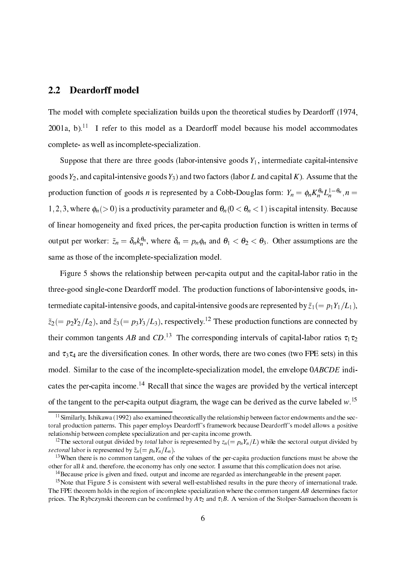## 2.2 Deardorff model

The model with complete specialization builds upon the theoretical studies by Deardorff (1974, 2001a, b).<sup>11</sup> I refer to this model as a Deardorff model because his model accommodates omplete- as well as in
omplete-spe
ialization.

Suppose that there are three goods (labor-intensive goods  $Y_1$ , intermediate capital-intensive goods  $Y_2$ , and capital-intensive goods  $Y_3$ ) and two factors (labor L and capital K). Assume that the production function of goods *n* is represented by a Cobb-Douglas form:  $I_n = \varphi_n \Lambda_n^{\alpha} L_n^{\alpha}$ ,  $n =$  $\cdot$  1, and  $\cdot$  1, and  $\cdot$  and  $\cdot$  is a product and  $\cdot$  is a product and  $\cdot$  is a product of  $\cdot$  . Because  $\cdot$ tion tion is the person of the product of the product of the person is the product of the personal control of output per worker:  $z_n = o_n \kappa_n^{\alpha_n}$ , where  $o_n = p_n \varphi_n$  and  $\sigma_1 < \sigma_2 < \sigma_3$ . Other assumptions are the same as those of the incomplete-specialization model.

Figure 5 shows the relationship between per-capita output and the capital-labor ratio in the three-good single-cone Deardorff model. The production functions of labor-intensive goods, intermediate capital-intensive goods, and capital-intensive goods are represented by  $\tilde{z}_1 (= p_1 Y_1/L_1)$ ,  $z_2$ ( $= p_2r_2/L_2$ ), and  $z_3$ ( $= p_3r_3/L_3$ ), respectively. These production functions are connected by their common tangents  $AD$  and  $CD$ . The corresponding intervals of capital-labor ratios  $\tau_1\tau_2$ ation is the diversion of the diversion of the diversion of the sets. In this case of two FPE sets) in this model. Similar to the case of the incomplete-specialization model, the envelope  $0ABCDE$  indicates the per-capita income.<sup>14</sup> Recall that since the wages are provided by the vertical intercept of the tangent to the per-capita output diagram, the wage can be derived as the curve labeled  $w$ .

<sup>&</sup>lt;sup>11</sup> Similarly, Ishikawa (1992) also examined theoretically the relationship between factor endowments and the sectoral produ
tion patterns. This paper employs Deardorff 's framework be
ause Deardorff 's model allows a positive relationship between complete specialization and per-capita income growth.

<sup>&</sup>lt;sup>12</sup>The sectoral output divided by *total* labor is represented by  $z_n (= p_n Y_n/L)$  while the sectoral output divided by see to the set of the property of  $\mathcal{S}$  , which is property that  $\mathcal{S}$ 

 $13$ When there is no common tangent, one of the values of the per-capita production functions must be above the other for all  $k$  and, therefore, the economy has only one sector. I assume that this complication does not arise.

The cause price is given and fixed, output and income are regarded as interchangeable in the present paper.

<sup>&</sup>lt;sup>15</sup>Note that Figure 5 is consistent with several well-established results in the pure theory of international trade. The FPE theorem holds in the region of incomplete specialization where the common tangent  $AB$  determines factor primary theorem and the Ryb and the Stole and the Stole and theorem is and the Stole and the Stole and the Stole and the Stole and the Stole and the Stole and the Stole and the Stole and the Stole and the Stole and the Sto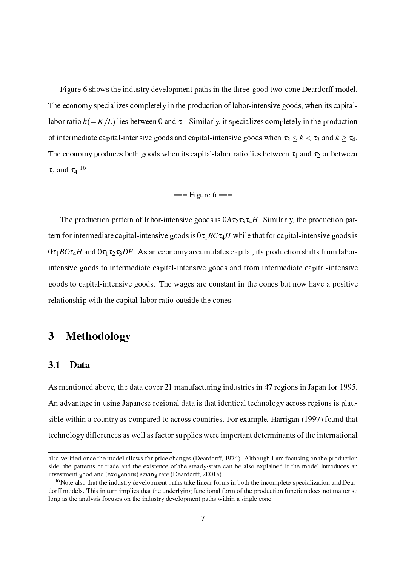Figure 6 shows the industry development paths in the three-good two-cone Deardorff model. The economy specializes completely in the production of labor-intensive goods, when its capitallabor ratio  $k (= K/L)$  lies between 0 and  $\tau_1$ . Similarly, it specializes completely in the production of intermediate capital-intensive goods and capital-intensive goods when  $\tau_2 \leq k < \tau_3$  and  $k \geq \tau_4$ . The economy produces both goods when its capital-labor ratio lies between  $\tau_1$  and  $\tau_2$  or between  $u_3$  and  $u_4$ .

### $==$  Figure 6  $==$

The production pattern of labor-intensive goods is  $0A\tau_2\tau_3\tau_4H$ . Similarly, the production pattern for intermediate capital-intensive goods is  $0\tau_1 BC \tau_4 H$  while that for capital-intensive goods is  $0\tau_1 BC \tau_4 H$  and  $0\tau_1 \tau_2 \tau_3 DE$ . As an economy accumulates capital, its production shifts from laborintensive goods to intermediate apital-intensive goods and from intermediate apital-intensive goods to apital-intensive goods. The wages are onstant in the ones but now have a positive relationship with the capital-labor ratio outside the cones.

#### 3 **Methodology**

#### $3.1$ Data

As mentioned above, the data cover 21 manufacturing industries in 47 regions in Japan for 1995. An advantage in using Japanese regional data is that identical technology across regions is plausible within a country as compared to across countries. For example, Harrigan (1997) found that te
hnology differen
es as well as fa
tor supplies were important determinants of the international

also veri-ed on
e the model allows for pri
e hanges (Deardorff, 1974). Although I am fo
using on the produ
tion side, the patterns of trade and the existence of the steady-state can be also explained if the model introduces an investment good and (exogenous) saving rate (Deardorff, 2001a).

 $16$ Note also that the industry development paths take linear forms in both the incomplete-specialization and Deardorff models. This in turn implies that the underlying functional form of the production function does not matter so long as the analysis focuses on the industry development paths within a single cone.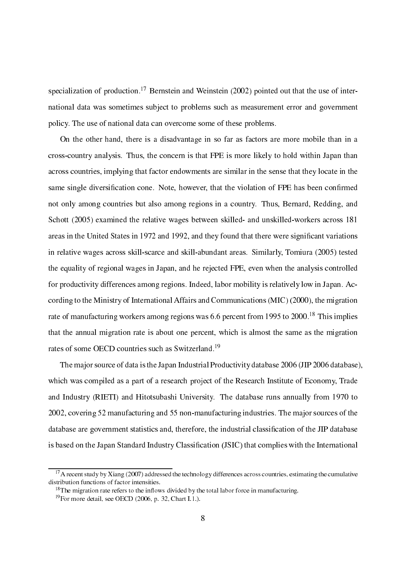specialization of production.<sup>17</sup> Bernstein and Weinstein (2002) pointed out that the use of international data was sometimes subje
t to problems su
h as measurement error and government poli
y. The use of national data an over
ome some of these problems.

On the other hand, there is a disadvantage in so far as fa
tors are more mobile than in a cross-country analysis. Thus, the concern is that FPE is more likely to hold within Japan than across countries, implying that factor endowments are similar in the sense that they locate in the same single diversi-ation one. Note, however, that the violation of FPE has been on-rmed not only among ountries but also among regions in a ountry. Thus, Bernard, Redding, and Schott (2005) examined the relative wages between skilled- and unskilled-workers across 181 are as in 1972 and 1972 and 1972 and 1972 and 1992, and 1992, and they found that they found that they found that they found that they found that they found that they found that they found that they found that they found t in relative wages across skill-scarce and skill-abundant areas. Similarly, Tomiura (2005) tested the equality of regional wages in Japan, and he reje
ted FPE, even when the analysis ontrolled for productivity differences among regions. Indeed, labor mobility is relatively low in Japan. Acording to the Ministry of International Affairs and Communi
ations (MIC) (2000), the migration rate of manufacturing workers among regions was 6.6 percent from 1995 to 2000.<sup>18</sup> This implies that the annual migration rate is about one per
ent, whi
h is almost the same as the migration rates of some OECD countries such as Switzerland.<sup>19</sup>

The major sour
e of data is the Japan Industrial Produ
tivity database 2006 (JIP 2006 database), which was compiled as a part of a research project of the Research Institute of Economy, Trade and Industry (RIETI) and Hitotsubashi University. The database runs annually from 1970 to 2002, covering 52 manufacturing and 55 non-manufacturing industries. The major sources of the ation of the government statistics and, there is the industrial constraint in the last case and the  $\alpha$ is based on the Japan Standard Industry Classi-ation (JSIC) that omplies with the International

<sup>&</sup>lt;sup>17</sup>A recent study by Xiang (2007) addressed the technology differences across countries, estimating the cumulative distribution functions of factor intensities.

 $18$ The migration rate refers to the inflows divided by the total labor force in manufacturing.

 $19$ For more detail, see OECD (2006, p. 32, Chart I.1.).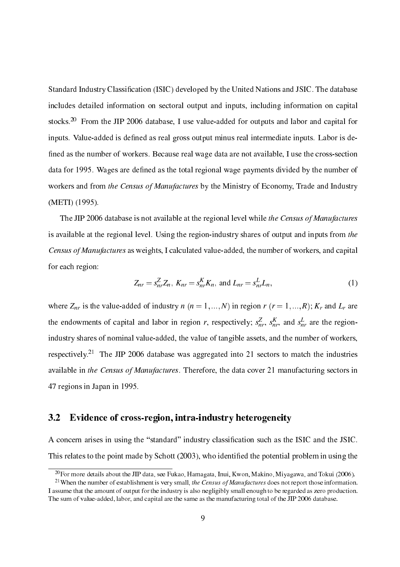Standard Industry Classi-ation (ISIC) developed by the United Nations and JSIC. The database includes detailed information on sectoral output and inputs, including information on capital stocks.<sup>20</sup> From the JIP 2006 database. I use value-added for outputs and labor and capital for inputs. Value-added is de-ned as real gross output minus real intermediate inputs. Labor is de ned as the number of workers. Because real wage data are not available, I use the number of workers. Because t data for the total region and de-total regional collections of the total payments of the number of the number o workers and from the Census of Manufactures by the Ministry of Economy, Trade and Industry (METI) (1995).

The JIP 2006 database is not available at the regional level while the Census of Manufactures is available at the regional level. Using the region-industry shares of output and inputs from the Census of Manufactures as weights, I calculated value-added, the number of workers, and capital for each region:

$$
Z_{nr} = s_{nr}^{2} Z_n, K_{nr} = s_{nr}^{K} K_n, \text{ and } L_{nr} = s_{nr}^{L} L_n,
$$
 (1)

where  $\pm m$  is the value-added of industry n (n  $\pm i$  ; industry regions  $\pm i$  ,  $\pm i$  ,  $\pm i$  and  $\pm j$  are the endowments of capital and labor in region r, respectively;  $s_{nr}$ ,  $s_{nr}$ , and  $s_{nr}$  are the regionindustry shares of nominal value-added, the value of tangible assets, and the number of workers,  $r = 1$  The JIP 2006 database was aggregated into 21 sectors to match the industries available in the Census of Manufactures. Therefore, the data cover 21 manufacturing sectors in 47 regions in Japan in 1995.

#### $3.2$ Evidence of cross-region, intra-industry heterogeneity

ation arises in using the standard industry finitially industry and the ISIC and the ISIC. This relates to the point made by S
hott (2003), who identi-ed the potential problem in using the

 $^{20}$ For more details about the JIP data, see Fukao, Hamagata, Inui, Kwon, Makino, Miyagawa, and Tokui (2006).

<sup>&</sup>lt;sup>21</sup>When the number of establishment is very small, the Census of Manufactures does not report those information. I assume that the amount of output for the industry is also negligibly small enough to be regarded as zero production. The sum of value-added, labor, and capital are the same as the manufacturing total of the JIP 2006 database.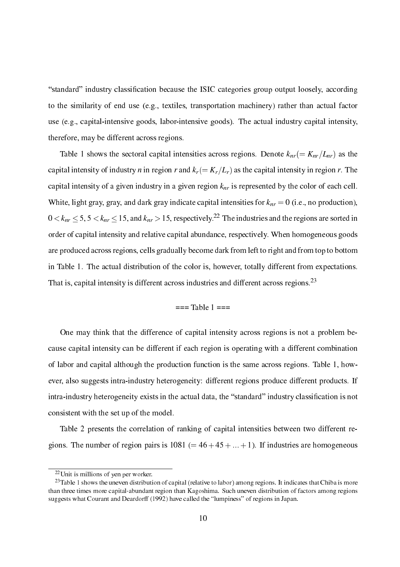standard industry lassi-ation be
ause the ISIC ategories group output loosely, a

ording to the similarity of end use (e.g., textiles, transportation machinery) rather than actual factor use (e.g., capital-intensive goods, labor-intensive goods). The actual industry capital intensity, therefore, may be different across regions.

 $T$  shows the set intersities appearance and set  $\sigma$  and  $T$  as the set  $\sigma$  and  $\sigma$  as the set of  $\sigma$ capital intensity of industry *n* in region *r* and  $k_r(=K_r/L_r)$  as the capital intensity in region *r*. The appears eller in a given eller industry in a given region knr in a persented by the second less ellers in the white, light gray, and dark gray, indicates for the content content content of the content of the content of t  $0 \le \kappa_{nr} \le 3$ ,  $3 \le \kappa_{nr} \le 13$ , and  $\kappa_{nr} > 13$ , respectively.<sup>22</sup> The industries and the regions are sorted in order of capital intensity and relative capital abundance, respectively. When homogeneous goods are produ
ed a
ross regions, ells gradually be
ome dark from left to right and from top to bottom in Table 1. The actual distribution of the color is, however, totally different from expectations. That is, capital intensity is different across industries and different across regions.<sup>23</sup>

## $==$ Table 1  $==$

One may think that the difference of capital intensity across regions is not a problem because capital intensity can be different if each region is operating with a different combination of labor and capital although the production function is the same across regions. Table 1, however, also suggests intra-industry heterogeneity: different regions produce different products. If intra-industry heterogeneity exists in the a
tual data, the standard industry lassi-ation is not onsistent with the set up of the model.

Table 2 presents the correlation of ranking of capital intensities between two different regions. The number of region pairs is  $1081 (= 46 + 45 + ... + 1)$ . If industries are homogeneous

<sup>22</sup>Unit is millions of yen per worker.

<sup>&</sup>lt;sup>23</sup>Table 1 shows the uneven distribution of capital (relative to labor) among regions. It indicates that Chiba is more than three times more apital-abundant region than Kagoshima. Su
h uneven distribution of fa
tors among regions suggests what Courant and Deardorff (1992) have called the "lumpiness" of regions in Japan.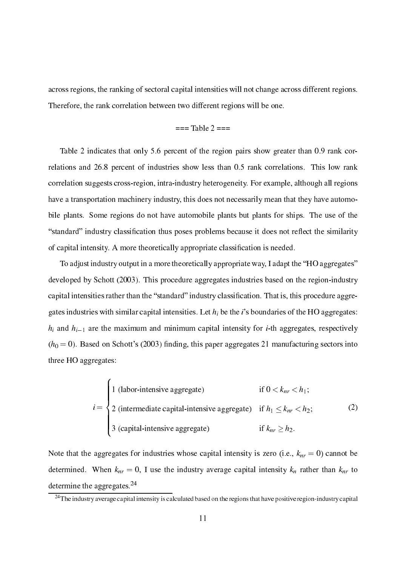across regions, the ranking of sectoral capital intensities will not change across different regions. Therefore, the rank orrelation between two different regions will be one.

### $==$ Table 2  $==$

Table 2 indicates that only 5.6 percent of the region pairs show greater than 0.9 rank correlations and 26.8 percent of industries show less than 0.5 rank correlations. This low rank orrelation suggests ross-region, intra-industry heterogeneity. For example, although all regions have a transportation machinery industry, this does not necessarily mean that they have automobile plants. Some regions do not have automobile plants but plants for ships. The use of the standard industry lassi-ation thus poses problems be
ause it does not ree
t the similarity of apital intensity. A more theoreti
ally appropriate lassi-ation is needed.

To adjust industry output in a more theoretically appropriate way, I adapt the "HO aggregates" developed by Schott (2003). This procedure aggregates industries based on the region-industry apital intensities rather than the standard industry lassi-ation. That is, this pro
edure aggregates industries with similar capital intensities. Let  $h_i$  be the i's boundaries of the HO aggregates: hi and hi1 are the maximum and minimum apital intensity for i-th aggregates, respe
tively  $(h_0 = 0)$ . Based on Schott's (2003) finding, this paper aggregates 21 manufacturing sectors into three HO aggregates:

$$
i = \begin{cases} 1 \text{ (labor-intensive aggregate)} & \text{if } 0 < k_{nr} < h_1; \\ 2 \text{ (intermediate capital-intensive aggregate)} & \text{if } h_1 \le k_{nr} < h_2; \\ 3 \text{ (capital-intensive aggregate)} & \text{if } k_{nr} \ge h_2. \end{cases} \tag{2}
$$

Note that the aggregates for industries whose apital intensity is zero (i.e., knr <sup>=</sup> 0) annot be determined. When  $\alpha_{ll}$  and  $\alpha_{ll}$  is the intensity fraction  $\alpha_{ll}$  intersity  $\alpha_{ll}$  intersected than  $\alpha_{ll}$ determine the aggregates.<sup>24</sup>

 $^{24}$ The industry average capital intensity is calculated based on the regions that have positive region-industry capital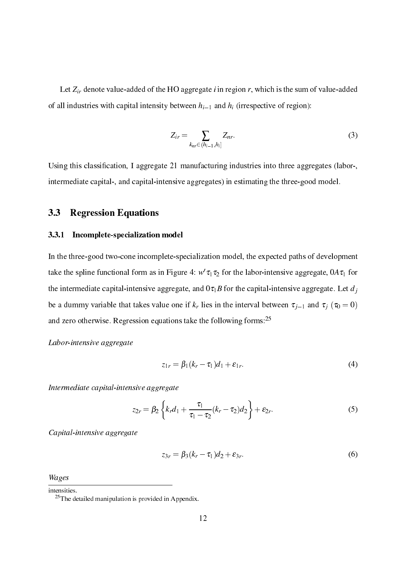Let Zir denote value-added of the HO aggregate <sup>i</sup> in region r, whi
h is the sum of value-added of all industries with capital intensity between  $h_{i-1}$  and  $h_i$  (irrespective of region):

$$
Z_{ir} = \sum_{k_{nr} \in (h_{i-1}, h_i]} Z_{nr}.
$$
\n
$$
(3)
$$

<u>ation, I and the contracted and the contracted industrial industrial industrial industrial into the se</u> intermediate apital-, and apital-intensive aggregates) in estimating the three-good model.

## 3.3 Regression Equations

#### $3.3.1$ Incomplete-specialization model

In the three-good two-cone incomplete-specialization model, the expected paths of development take the spline functional form as in Figure 4:  $w$   $u_1u_2$  for the labor-intensive aggregate, 0A  $u_1$  for the intermediate capital-intensive aggregate, and  $0\tau_1B$  for the capital-intensive aggregate. Let  $d_i$ be a dummy variable that takes value one if the interval between the interval between the j1 and t j1 (t0 = 0) and zero otherwise. Regression equations take the following forms:<sup>25</sup>

Labor-intensive aggregate

$$
z_{1r} = \beta_1(k_r - \tau_1)d_1 + \varepsilon_{1r}.
$$
\n<sup>(4)</sup>

Intermediate apital-intensive aggregate

$$
z_{2r} = \beta_2 \left\{ k_r d_1 + \frac{\tau_1}{\tau_1 - \tau_2} (k_r - \tau_2) d_2 \right\} + \varepsilon_{2r}.
$$
 (5)

Capital-intensive aggregate

$$
z_{3r} = \beta_3(k_r - \tau_1)d_2 + \varepsilon_{3r}.
$$
\n<sup>(6)</sup>

Wages

intensities.

<sup>25</sup>The detailed manipulation is provided in Appendix.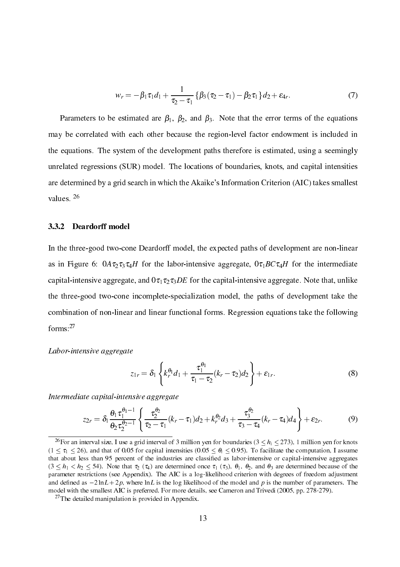$$
w_r = -\beta_1 \tau_1 d_1 + \frac{1}{\tau_2 - \tau_1} \left\{ \beta_3 (\tau_2 - \tau_1) - \beta_2 \tau_1 \right\} d_2 + \varepsilon_{4r}.
$$
 (7)

Parameters to be estimated are  $\beta_1$ ,  $\beta_2$ , and  $\beta_3$ . Note that the error terms of the equations may be correlated with each other because the region-level factor endowment is included in the equations. The system of the development paths therefore is estimated, using a seemingly unrelated regressions (SUR) model. The locations of boundaries, knots, and capital intensities are determined by a grid search in which the Akaike's Information Criterion (AIC) takes smallest values. <sup>26</sup>

#### $3.3.2$ 3.3.2 Deardorff model

In the three-good two-cone Deardorff model, the expected paths of development are non-linear as in Figure 6:  $0A\tau_2\tau_3\tau_4H$  for the labor-intensive aggregate,  $0\tau_1BC\tau_4H$  for the intermediate capital-intensive aggregate, and  $0\tau_1\tau_2\tau_3DE$  for the capital-intensive aggregate. Note that, unlike the three-good twoone in
omplete-spe
ialization model, the paths of development take the combination of non-linear and linear functional forms. Regression equations take the following forms:27

### Labor-intensive aggregate

$$
z_{1r} = \delta_1 \left\{ k_r^{\theta_1} d_1 + \frac{\tau_1^{\theta_1}}{\tau_1 - \tau_2} (k_r - \tau_2) d_2 \right\} + \varepsilon_{1r}.
$$
 (8)

Intermediate apital-intensive aggregate

$$
z_{2r} = \delta_1 \frac{\theta_1 \tau_1^{\theta_1 - 1}}{\theta_2 \tau_2^{\theta_2 - 1}} \left\{ \frac{\tau_2^{\theta_2}}{\tau_2 - \tau_1} (k_r - \tau_1) d_2 + k_r^{\theta_2} d_3 + \frac{\tau_3^{\theta_2}}{\tau_3 - \tau_4} (k_r - \tau_4) d_4 \right\} + \varepsilon_{2r}.
$$
 (9)

<sup>&</sup>lt;sup>26</sup>For an interval size, I use a grid interval of 3 million yen for boundaries ( $3 < h<sub>i</sub> < 273$ ), 1 million yen for knots  $(1 \leq \tau_1 \leq 26)$ , and that of 0.05 for capital intensities  $(0.05 \leq \theta_i \leq 0.95)$ . To facilitate the computation, I assume that about less than 95 per
ent of the industries are lassi-ed as labor-intensive or apital-intensive aggregates  $(3 \leq h_1 \leq h_2 \leq 54)$ . Note that  $\tau_2$  ( $\tau_4$ ) are determined once  $\tau_1$  ( $\tau_3$ ),  $\theta_1$ ,  $\theta_2$ , and  $\theta_3$  are determined because of the parameter restrictions (see Appendix). The AIC is a log-likelihood criterion with degrees of freedom adjustment and decomposition as 2 ln L is the log likelihood of the model and model and product of parameters. The number of parameters of  $\mu$ model with the smallest AIC is preferred. For more details, see Cameron and Trivedi (2005, pp. 278-279).

<sup>27</sup>The detailed manipulation is provided in Appendix.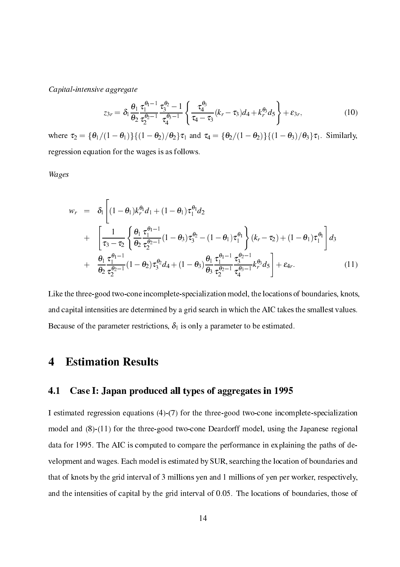Capital-intensive aggregate

$$
z_{3r} = \delta_1 \frac{\theta_1}{\theta_2} \frac{\tau_1^{\theta_1 - 1}}{\tau_2^{\theta_2 - 1}} \frac{\tau_3^{\theta_2} - 1}{\tau_4^{\theta_3 - 1}} \left\{ \frac{\tau_4^{\theta_3}}{\tau_4 - \tau_3} (k_r - \tau_3) d_4 + k_r^{\theta_3} d_5 \right\} + \varepsilon_{3r},\tag{10}
$$

where  $\tau_2 = {\theta_1/(1 - \theta_1)}({1 - \theta_2})/\theta_2\tau_1$  and  $\tau_4 = {\theta_2/(1 - \theta_2)}({1 - \theta_3})/\theta_3\tau_1$ . Similarly, regression equation for the wages is as follows.

Wages

$$
w_r = \delta_1 \left[ (1 - \theta_1) k_r^{\theta_1} d_1 + (1 - \theta_1) \tau_1^{\theta_1} d_2 + \left[ \frac{1}{\tau_3 - \tau_2} \left\{ \frac{\theta_1}{\theta_2} \frac{\tau_1^{\theta_1 - 1}}{\tau_2^{\theta_2 - 1}} (1 - \theta_3) \tau_3^{\theta_2} - (1 - \theta_1) \tau_1^{\theta_1} \right\} (k_r - \tau_2) + (1 - \theta_1) \tau_1^{\theta_1} \right] d_3 + \frac{\theta_1}{\theta_2} \frac{\tau_1^{\theta_1 - 1}}{\tau_2^{\theta_2 - 1}} (1 - \theta_2) \tau_3^{\theta_2} d_4 + (1 - \theta_3) \frac{\theta_1}{\theta_3} \frac{\tau_1^{\theta_1 - 1}}{\tau_2^{\theta_2 - 1}} \frac{\tau_3^{\theta_2 - 1}}{\tau_4^{\theta_3 - 1}} k_r^{\theta_3} d_5 \right] + \varepsilon_{4r}.
$$
 (11)

Like the three-good two-cone incomplete-specialization model, the locations of boundaries, knots, and capital intensities are determined by a grid search in which the AIC takes the smallest values. Because of the parameter restrictions,  $\delta_1$  is only a parameter to be estimated.

#### **Estimation Results**  $\overline{\mathbf{4}}$

## 4.1 Case I: Japan produ
ed all types of aggregates in 1995

I estimated regression equations (4)-(7) for the three-good two-cone incomplete-specialization model and (8)-(11) for the three-good twoone Deardorff model, using the Japanese regional data for 1995. The AIC is computed to compare the performance in explaining the paths of development and wages. Each model is estimated by SUR, searching the location of boundaries and that of knots by the grid interval of 3 millions yen and 1 millions of yen per worker, respe
tively, and the intensities of capital by the grid interval of 0.05. The locations of boundaries, those of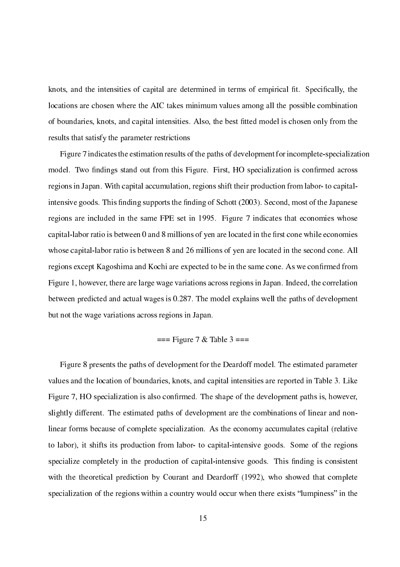knots, and the intensities of apital are determined in terms of empiri
al -t. Spe
i-ally, the locations are chosen where the AIC takes minimum values among all the possible combination tted model internation, and the best -contention of the best -content is the best -conly for the the results that satisfy the parameter restri
tions

Figure 7 indicates the estimation results of the paths of development for incomplete-specialization model. Two -ndings stand out from this Figure. First, HO spe
ialization is on-rmed a
ross regions in Japan. With capital accumulation, regions shift their production from labor- to capitalintensive goods. This -nding supports the -nding of S
hott (2003). Se
ond, most of the Japanese regions are included in the same FPE set in 1995. Figure 7 indicates that economies whose apital-labor ratio is between 0 and 8 millions of yen are local to the - relations of yen are local to the - r whose capital-labor ratio is between 8 and 26 millions of yen are located in the second cone. All regions except complements and control and the present in the and the same from the same and control Figure 1, however, there are large wage variations across regions in Japan. Indeed, the correlation between predicted and actual wages is 0.287. The model explains well the paths of development but not the wage variations a
ross regions in Japan.

$$
==
$$
Figure 7 & Table 3 ==

Figure 8 presents the paths of development for the Deardoff model. The estimated parameter values and the location of boundaries, knots, and capital intensities are reported in Table 3. Like Figure 7, HO spe
ialization is also on-rmed. The shape of the development paths is, however, slightly different. The estimated paths of development are the combinations of linear and nonlinear forms because of complete specialization. As the economy accumulates capital (relative to labor), it shifts its production from labor- to capital-intensive goods. Some of the regions spe
ialize ompletely in the produ
tion of apital-intensive goods. This -nding is onsistent with the theoretical prediction by Courant and Deardorff (1992), who showed that complete specialization of the regions within a country would occur when there exists "lumpiness" in the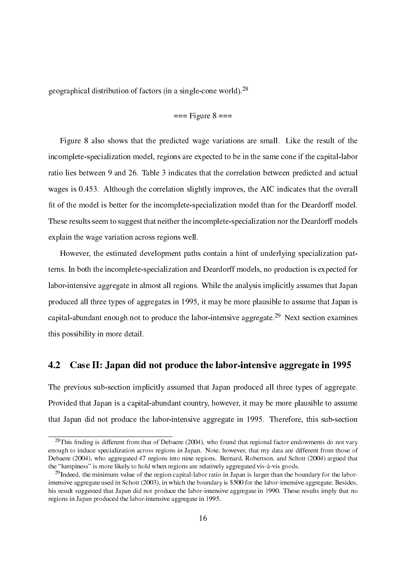geographical distribution of factors (in a single-cone world).<sup>28</sup>

$$
=
$$
 = Figure 8  $=$ 

Figure 8 also shows that the predicted wage variations are small. Like the result of the incomplete-specialization model, regions are expected to be in the same cone if the capital-labor ratio lies between 9 and 26. Table 3 indicates that the correlation between predicted and actual wages is 0.453. Although the correlation slightly improves, the AIC indicates that the overall -t of the model is better for the in
omplete-spe
ialization model than for the Deardorff model. These results seem to suggest that neither the incomplete-specialization nor the Deardorff models explain the wage variation across regions well.

However, the estimated development paths contain a hint of underlying specialization patterns. In both the incomplete-specialization and Deardorff models, no production is expected for labor-intensive aggregate in almost all regions. While the analysis implicitly assumes that Japan produ
ed all three types of aggregates in 1995, it may be more plausible to assume that Japan is capital-abundant enough not to produce the labor-intensive aggregate.<sup>29</sup> Next section examines this possibility in more detail.

#### $4.2$ Case II: Japan did not produce the labor-intensive aggregate in 1995

The previous sub-section implicitly assumed that Japan produced all three types of aggregate. Provided that Japan is a capital-abundant country, however, it may be more plausible to assume that Japan did not produ
e the labor-intensive aggregate in 1995. Therefore, this sub-se
tion

 $-$  rms inding is different from that of Debaere (2004), who found that regional factor endowments do not vary enough to induce specialization across regions in Japan. Note, however, that my data are different from those of Debaere (2004), who aggregated 47 regions into nine regions. Bernard, Robertson, and Schott (2004) argued that the "lumpiness" is more likely to hold when regions are relatively aggregated vis-à-vis goods.

<sup>&</sup>lt;sup>29</sup>Indeed, the minimum value of the region capital-labor ratio in Japan is larger than the boundary for the laborintensive aggregate used in Schott (2003), in which the boundary is \$500 for the labor-intensive aggregate. Besides, his result suggested that Japan did not produce the labor-intensive aggregate in 1990. These results imply that no regions in Japan produ
ed the labor-intensive aggregate in 1995.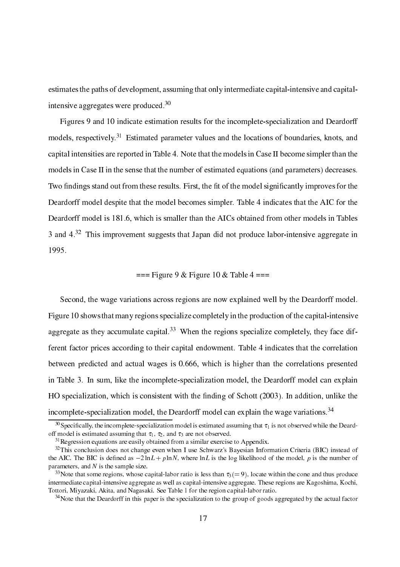estimates the paths of development, assuming that only intermediate capital-intensive and capitalintensive aggregates were produ
ed.30

Figures 9 and 10 indicate estimation results for the incomplete-specialization and Deardorff models, respe
tively. <sup>31</sup> Estimated parameter values and the lo
ations of boundaries, knots, and apital intensities are reported in Table 4. Note that the models in Case II be
ome simpler than the models in Case II in the sense that the number of estimated equations (and parameters) decreases. two conditions in the model significant of the significant conditions  $\mathcal{L}_{\mathbf{A}}$  . The model significant of the model Deardorff model despite that the model becomes simpler. Table 4 indicates that the AIC for the Deardorff model is 181.6, which is smaller than the AICs obtained from other models in Tables 3 and  $4^{32}$  This improvement suggests that Japan did not produce labor-intensive aggregate in 1995.

 $==$  Figure 9 & Figure 10 & Table 4  $==$ 

Second, the wage variations across regions are now explained well by the Deardorff model. Figure 10 shows that many regions specialize completely in the production of the capital-intensive aggregate as they accumulate capital.<sup>33</sup> When the regions specialize completely, they face different factor prices according to their capital endowment. Table 4 indicates that the correlation between predicted and actual wages is 0.666, which is higher than the correlations presented in Table 3. In sum, like the incomplete-specialization model, the Deardorff model can explain es in it is an interesting of the state the consistent with the second  $\rho$  and it is additionally defined the incomplete-specialization model, the Deardorff model can explain the wage variations.<sup>34</sup>

 $\gamma$  specificatly, the incomplete-specialization model is estimated assuming that  $\tau_1$  is not observed while the Deardoff model is estimated assuming that  $\tau_1$ ,  $\tau_2$ , and  $\tau_3$  are not observed.

 $31$ Regression equations are easily obtained from a similar exercise to Appendix.

<sup>&</sup>lt;sup>32</sup>This conclusion does not change even when I use Schwarz's Bayesian Information Criteria (BIC) instead of the all the BIC is defined as 2 ln L is the log likelihood of the model, p is the model, p is the model, and parameters, and  $N$  is the sample size.

<sup>&</sup>lt;sup>33</sup>Note that some regions, whose capital-labor ratio is less than  $\tau_3 (= 9)$ , locate within the cone and thus produce intermediate capital-intensive aggregate as well as capital-intensive aggregate. These regions are Kagoshima, Kochi, Tottori, Miyazaki, Akita, and Nagasaki. See Table 1 for the region apital-labor ratio.

 $34$ Note that the Deardorff in this paper is the specialization to the group of goods aggregated by the actual factor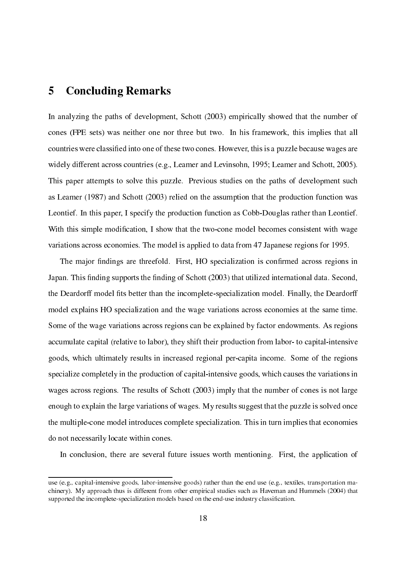# 5 Con
luding Remarks

In analyzing the paths of development, Schott (2003) empirically showed that the number of ones (FPE sets) was neither one nor three but two. In his framework, this implies that all ountries were lassi-ed into one of these two ones. However, this is a puzzle be
ause wages are widely different across countries (e.g., Leamer and Levinsohn, 1995; Leamer and Schott, 2005). This paper attempts to solve this puzzle. Previous studies on the paths of development su
h as Leamer (1987) and Schott (2003) relied on the assumption that the production function was Leontief. In this paper, I specify the production function as Cobb-Douglas rather than Leontief. With this simple modi-ation, I show that the twoone model be
omes onsistent with wage variations a
ross e
onomies. The model is applied to data from 47 Japanese regions for 1995.

The major -ndings are threefold. First, HO spe
ialization is on-rmed a
ross regions in , in the support of Section 1999, the conduction of Section 1999, the section of the section of the section of the Deardorff model -ts better than the in
omplete-spe
ialization model. Finally, the Deardorff model explains HO specialization and the wage variations across economies at the same time. Some of the wage variations across regions can be explained by factor endowments. As regions accumulate capital (relative to labor), they shift their production from labor- to capital-intensive goods, whi
h ultimately results in in
reased regional perapita in
ome. Some of the regions specialize completely in the production of capital-intensive goods, which causes the variations in wages across regions. The results of Schott (2003) imply that the number of cones is not large enough to explain the large variations of wages. My results suggest that the puzzle is solved on
e the multipleone model introdu
es omplete spe
ialization. This in turn implies that e
onomies do not ne
essarily lo
ate within ones.

In conclusion, there are several future issues worth mentioning. First, the application of

use (e.g., apital-intensive goods, labor-intensive goods) rather than the end use (e.g., textiles, transportation ma chinery). My approach thus is different from other empirical studies such as Haveman and Hummels (2004) that supported the in
omplete-spe
ialization models based on the end-use industry lassi-ation.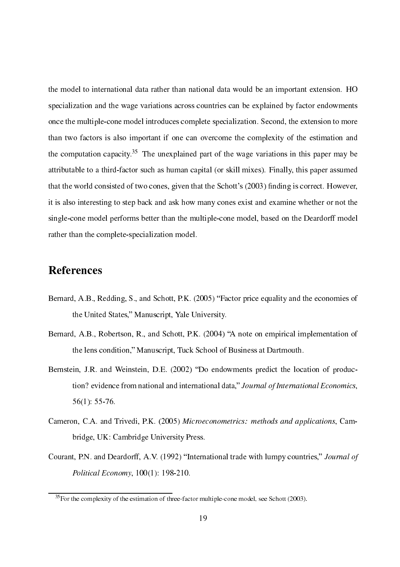the model to international data rather than national data would be an important extension. HO specialization and the wage variations across countries can be explained by factor endowments once the multiple-cone model introduces complete specialization. Second, the extension to more than two factors is also important if one can overcome the complexity of the estimation and the computation capacity. The unexplained part of the wage variations in this paper may be attributable to a third-factor such as human capital (or skill mixes). Finally, this paper assumed that the world consisted of two cones, given that the Schott's (2003) finding is correct. However, it is also interesting to step ba
k and ask how many ones exist and examine whether or not the singleone model performs better than the multipleone model, based on the Deardorff model rather than the complete-specialization model.

# **References**

- Bernard, A.B., Redding, S., and Schott, P.K. (2005) "Factor price equality and the economies of the United States," Manuscript, Yale University.
- Bernard, A.B., Robertson, R., and Schott, P.K. (2004) "A note on empirical implementation of the lens condition," Manuscript, Tuck School of Business at Dartmouth.
- Bernstein, J.R. and Weinstein, D.E. (2002) "Do endowments predict the location of production? evidence from national and international data," Journal of International Economics, 56(1): 55-76.
- Cameron, C.A. and Trivedi, P.K. (2005) Microeconometrics: methods and applications, Cambridge, UK: Cambridge University Press.
- Courant, P.N. and Deardorff, A.V. (1992) "International trade with lumpy countries," Journal of Political Economy, 100(1): 198-210.

 $35$ For the complexity of the estimation of three-factor multiple-cone model, see Schott (2003).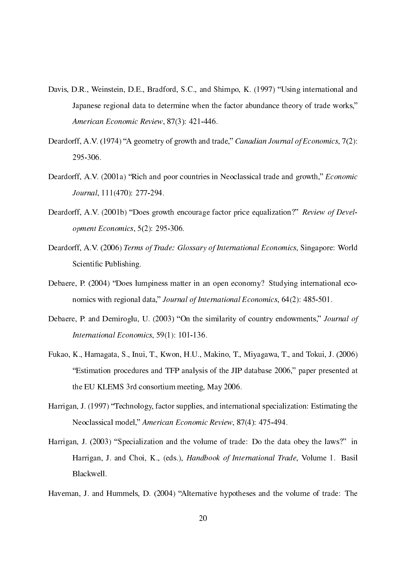- Davis, D.R., Weinstein, D.E., Bradford, S.C., and Shimpo, K. (1997) "Using international and Japanese regional data to determine when the factor abundance theory of trade works," American Economic Review, 87(3): 421-446.
- Deardorff, A.V. (1974) "A geometry of growth and trade," Canadian Journal of Economics, 7(2): 295-306.
- Deardorff, A.V. (2001a) "Rich and poor countries in Neoclassical trade and growth," *Economic* Journal, 111(470): 277-294.
- Deardorff, A.V. (2001b) "Does growth encourage factor price equalization?" Review of Development E
onomi
s, 5(2): 295-306.
- Deardorff, A.V. (2006) Terms of Trade: Glossary of International Economics, Singapore: World s is in the continuity of the second state of the second state of the second state of the second state of the
- Debaere, P. (2004) "Does lumpiness matter in an open economy? Studying international economics with regional data," Journal of International Economics, 64(2): 485-501.
- Debaere, P. and Demiroglu, U. (2003) "On the similarity of country endowments," *Journal of* International Economics, 59(1): 101-136.
- Fukao, K., Hamagata, S., Inui, T., Kwon, H.U., Makino, T., Miyagawa, T., and Tokui, J. (2006) Estimation pro
edures and TFP analysis of the JIP database 2006, paper presented at the EU KLEMS 3rd onsortium meeting, May 2006.
- Harrigan, J. (1997) "Technology, factor supplies, and international specialization: Estimating the Neoclassical model," American Economic Review, 87(4): 475-494.
- Harrigan, J. (2003) "Specialization and the volume of trade: Do the data obey the laws?" in Harrigan, J. and Choi, K., (eds.), *Handbook of International Trade*, Volume 1. Basil Blackwell.
- Haveman, J. and Hummels, D. (2004) "Alternative hypotheses and the volume of trade: The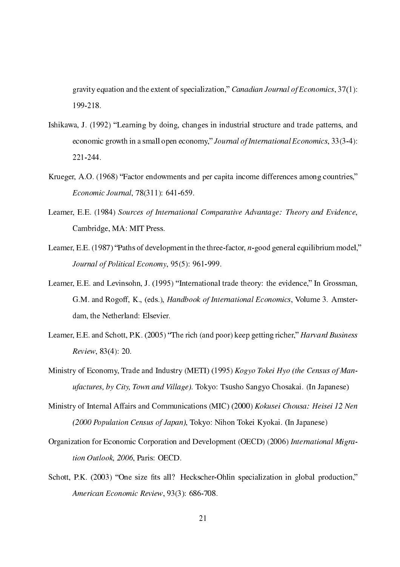gravity equation and the extent of specialization," Canadian Journal of Economics, 37(1): 199-218.

- Ishikawa, J. (1992) "Learning by doing, changes in industrial structure and trade patterns, and economic growth in a small open economy," Journal of International Economics, 33(3-4): 221-244.
- Krueger, A.O. (1968) "Factor endowments and per capita income differences among countries," E
onomi Journal, 78(311): 641-659.
- Leamer, E.E. (1984) Sources of International Comparative Advantage: Theory and Evidence, Cambridge, MA: MIT Press.
- Leamer, E.E. (1987) "Paths of development in the three-factor, *n*-good general equilibrium model," Journal of Political Economy, 95(5): 961-999.
- Leamer, E.E. and Levinsohn, J. (1995) "International trade theory: the evidence," In Grossman, G.M. and Rogoff, K., (eds.), *Handbook of International Economics*, Volume 3. Amsterdam, the Netherland: Elsevier. dams, the netherlands are the Netherland
- Leamer, E.E. and Schott, P.K. (2005) "The rich (and poor) keep getting richer," *Harvard Business* Review, 83(4): 20.
- Ministry of Economy, Trade and Industry (METI) (1995) Kogyo Tokei Hyo (the Census of Manufa
tures, by City, Town and Village). Tokyo: Tsusho Sangyo Chosakai. (In Japanese)
- Ministry of Internal Affairs and Communications (MIC) (2000) Kokusei Chousa: Heisei 12 Nen (2000 Population Census of Japan), Tokyo: Nihon Tokei Kyokai. (In Japanese)
- Organization for Economic Corporation and Development (OECD) (2006) International Migration Outlook, 2006, Paris: OECD.
- ts all the species of the species of the species of the species of the species of the production  $\mathcal{L}$ American Economic Review, 93(3): 686-708.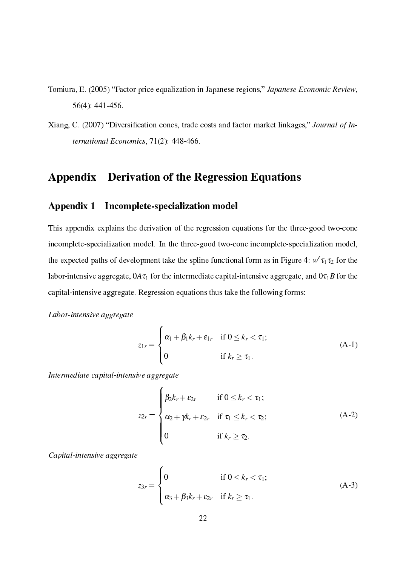- Tomiura, E. (2005) "Factor price equalization in Japanese regions," Japanese Economic Review, 56(4): 441-456.
- ation at  $\sim$  , the contribution of interesting the contribution of  $\sim$  . The contribution of  $\sim$  , and ternational Economics, 71(2): 448-466.

# Appendix Derivation of the Regression Equations

# Appendix 1 In
omplete-spe
ialization model

This appendix explains the derivation of the regression equations for the three-good twoone incomplete-specialization model. In the three-good two-cone incomplete-specialization model, the expected paths of development take the spline functional form as in Figure 4:  $w \tau_1 \tau_2$  for the labor-intensive aggregate,  $0A\tau_1$  for the intermediate capital-intensive aggregate, and  $0\tau_1B$  for the apital-intensive aggregate. Regression equations thus take the following forms:

### Labor-intensive aggregate

$$
z_{1r} = \begin{cases} \alpha_1 + \beta_1 k_r + \varepsilon_{1r} & \text{if } 0 \le k_r < \tau_1; \\ 0 & \text{if } k_r \ge \tau_1. \end{cases}
$$
 (A-1)

Intermediate apital-intensive aggregate

$$
z_{2r} = \begin{cases} \beta_2 k_r + \varepsilon_{2r} & \text{if } 0 \le k_r < \tau_1; \\ \alpha_2 + \gamma k_r + \varepsilon_{2r} & \text{if } \tau_1 \le k_r < \tau_2; \\ 0 & \text{if } k_r \ge \tau_2. \end{cases} \tag{A-2}
$$

Capital-intensive aggregate

$$
z_{3r} = \begin{cases} 0 & \text{if } 0 \le k_r < \tau_1; \\ \alpha_3 + \beta_3 k_r + \varepsilon_{2r} & \text{if } k_r \ge \tau_1. \end{cases}
$$
 (A-3)

<sup>8</sup>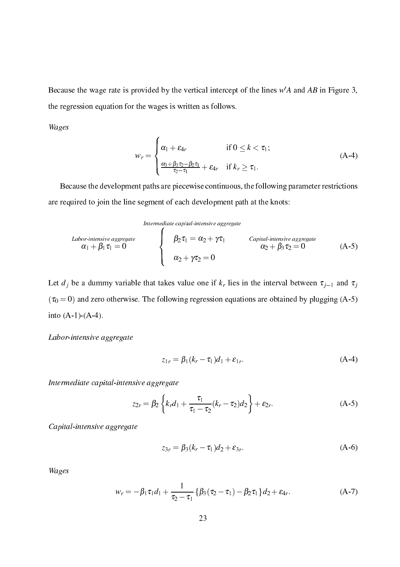Because the wage rate is provided by the vertical intercept of the lines  $wA$  and  $AD$  in Figure 3, the regression equation for the wages is written as follows.

Wages

$$
w_r = \begin{cases} \alpha_1 + \varepsilon_{4r} & \text{if } 0 \le k < \tau_1; \\ \frac{\alpha_3 + \beta_3 \tau_2 - \beta_2 \tau_1}{\tau_2 - \tau_1} + \varepsilon_{4r} & \text{if } k_r \ge \tau_1. \end{cases} \tag{A-4}
$$

Because the development paths are piecewise continuous, the following parameter restrictions are required to join the line segment of ea
h development path at the knots:

Intermediate <sup>8</sup> apital-intensive aggregate

*Labor-intensive aggregate*  
\n
$$
\alpha_1 + \beta_1 \tau_1 = 0
$$
  
\n $\alpha_2 + \gamma \tau_2 = 0$   
\n $\alpha_3 + \gamma \tau_3 = 0$   
\n $\alpha_4 + \beta_1 \tau_4 = 0$   
\n $\alpha_5$   
\n $\alpha_6$   
\n $\alpha_7$   
\n $\alpha_8$   
\n $\alpha_9$   
\n $\alpha_1 + \beta_1 \tau_4 = 0$   
\n $\alpha_2 + \gamma \tau_2 = 0$   
\n $\alpha_3$   
\n $\alpha_4$   
\n $\alpha_5$   
\n $\alpha_7$   
\n $\alpha_8$   
\n $\alpha_9$   
\n $\alpha_9$   
\n $\alpha_1$   
\n $\alpha_2$   
\n $\alpha_3$   
\n $\alpha_4$   
\n $\alpha_5$   
\n $\alpha_7$   
\n $\alpha_8$   
\n $\alpha_9$   
\n $\alpha_9$   
\n $\alpha_1$   
\n $\alpha_2$   
\n $\alpha_3$   
\n $\alpha_4$   
\n $\alpha_5$   
\n $\alpha_7$   
\n $\alpha_8$   
\n $\alpha_9$   
\n $\alpha_9$   
\n $\alpha_1$   
\n $\alpha_1$   
\n $\alpha_2$   
\n $\alpha_3$   
\n $\alpha_4$   
\n $\alpha_5$   
\n $\alpha_7$   
\n $\alpha_8$   
\n $\alpha_9$   
\n $\alpha_9$   
\n $\alpha_9$   
\n $\alpha_9$   
\n $\alpha_9$   
\n $\alpha_9$   
\n $\alpha_9$   
\n $\alpha_9$   
\n $\alpha_9$   
\n $\alpha_9$   
\n $\alpha_9$   
\n $\alpha_9$   
\n $\alpha_9$   
\n $\alpha$ 

Let  $\alpha$  , and the dumming variable takes value one if the interval between the interval between  $\alpha$  jn and  $\alpha$  $\cdot$  $(\tau_0 = 0)$  and zero otherwise. The following regression equations are obtained by plugging (A-5) into  $(A-1)-(A-4)$ .

## Labor-intensive aggregate

$$
z_{1r} = \beta_1(k_r - \tau_1)d_1 + \varepsilon_{1r}.
$$
 (A-4)

Intermediate apital-intensive aggregate

$$
z_{2r} = \beta_2 \left\{ k_r d_1 + \frac{\tau_1}{\tau_1 - \tau_2} (k_r - \tau_2) d_2 \right\} + \varepsilon_{2r}.
$$
 (A-5)

Capital-intensive aggregate

$$
z_{3r} = \beta_3(k_r - \tau_1)d_2 + \varepsilon_{3r}.
$$
 (A-6)

Wages

$$
w_r = -\beta_1 \tau_1 d_1 + \frac{1}{\tau_2 - \tau_1} \left\{ \beta_3 (\tau_2 - \tau_1) - \beta_2 \tau_1 \right\} d_2 + \varepsilon_{4r}.
$$
 (A-7)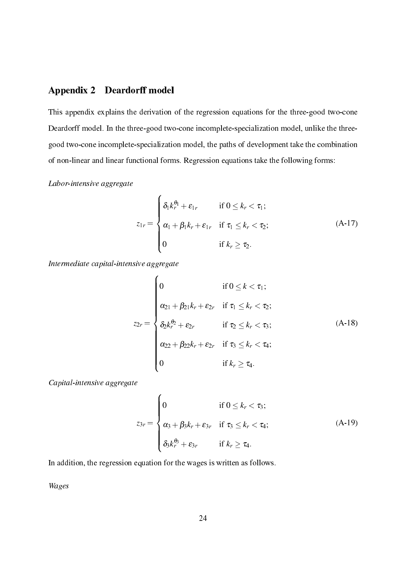## Appendix 2 Deardorff model

This appendix explains the derivation of the regression equations for the three-good twoone Deardorff model. In the three-good two-cone incomplete-specialization model, unlike the threegood two-cone incomplete-specialization model, the paths of development take the combination of non-linear and linear functional forms. Regression equations take the following forms:

## Labor-intensive aggregate

$$
z_{1r} = \begin{cases} \delta_1 k_r^{\theta_1} + \varepsilon_{1r} & \text{if } 0 \le k_r < \tau_1; \\ \alpha_1 + \beta_1 k_r + \varepsilon_{1r} & \text{if } \tau_1 \le k_r < \tau_2; \\ 0 & \text{if } k_r \ge \tau_2. \end{cases} \tag{A-17}
$$

Intermediate apital-intensive aggregate

$$
z_{2r} = \begin{cases} 0 & \text{if } 0 \leq k < \tau_1; \\ \alpha_{21} + \beta_{21}k_r + \varepsilon_{2r} & \text{if } \tau_1 \leq k_r < \tau_2; \\ \delta_2 k_r^{\theta_2} + \varepsilon_{2r} & \text{if } \tau_2 \leq k_r < \tau_3; \\ \alpha_{22} + \beta_{22}k_r + \varepsilon_{2r} & \text{if } \tau_3 \leq k_r < \tau_4; \\ 0 & \text{if } k_r \geq \tau_4. \end{cases} \tag{A-18}
$$

Capital-intensive aggregate

$$
z_{3r} = \begin{cases} 0 & \text{if } 0 \leq k_r < \tau_3; \\ \alpha_3 + \beta_3 k_r + \varepsilon_{3r} & \text{if } \tau_3 \leq k_r < \tau_4; \\ \delta_3 k_r^{\theta_3} + \varepsilon_{3r} & \text{if } k_r \geq \tau_4. \end{cases}
$$
(A-19)

In addition, the regression equation for the wages is written as follows.

Wages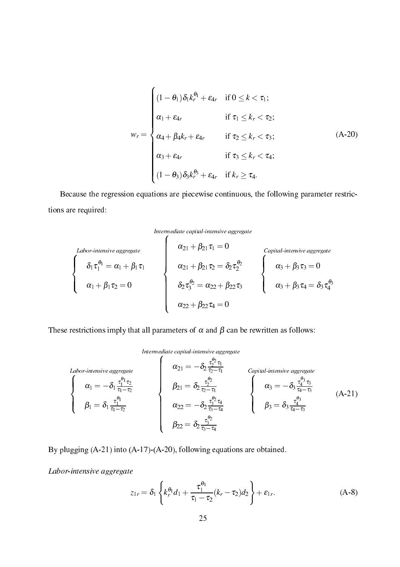$$
w_r = \begin{cases} (1 - \theta_1) \delta_1 k_r^{\theta_1} + \varepsilon_{4r} & \text{if } 0 \le k < \tau_1; \\ \alpha_1 + \varepsilon_{4r} & \text{if } \tau_1 \le k_r < \tau_2; \\ \alpha_4 + \beta_4 k_r + \varepsilon_{4r} & \text{if } \tau_2 \le k_r < \tau_3; \\ \alpha_3 + \varepsilon_{4r} & \text{if } \tau_3 \le k_r < \tau_4; \\ (1 - \theta_3) \delta_3 k_r^{\theta_3} + \varepsilon_{4r} & \text{if } k_r \ge \tau_4. \end{cases} \tag{A-20}
$$

Because the regression equations are piecewise continuous, the following parameter restrictions are required:



$$
\begin{cases}\n\text{Labor-intensive aggregate} \\
\delta_1 \tau_1^{\theta_1} = \alpha_1 + \beta_1 \tau_1 \\
\alpha_1 + \beta_1 \tau_2 = 0 \\
\alpha_{21} + \beta_{21} \tau_2 = \delta_2 \tau_2^{\theta_2} \\
\delta_2 \tau_3^{\theta_2} = \alpha_{22} + \beta_{22} \tau_3 \\
\alpha_{22} + \beta_{22} \tau_4 = 0\n\end{cases}\n\begin{cases}\n\text{Capital-intensive aggregate} \\
\alpha_3 + \beta_3 \tau_3 = 0 \\
\alpha_3 + \beta_3 \tau_4 = \delta_3 \tau_4^{\theta_3}\n\end{cases}
$$

These restrictions imply that all parameters of  $\alpha$  and  $\beta$  can be rewritten as follows:

<sup>8</sup>

### apital-intermediate and control of the control of the control of the control of the control of the control of the control of the control of the control of the control of the control of the control of the control of the con

<sup>8</sup> Labor-intensive aggregate  $\mathbf{I}$  $\perp$  $\alpha_1 = -\delta_1 \frac{\tau_1^{-1} \, \tau_2}{\tau_1 - \tau_2}$  $\cdot$ 1 $\cdot$  $\beta_1=\delta_1\frac{\tau_1^{-1}}{\tau_1-\tau_2}$  $\overline{\phantom{a}}$  $\overline{\phantom{a}}$  $\alpha_{21} = -\delta_2 \frac{\tau_2^2 \tau_1}{\tau_2 \tau_1}$ ta ta 11  $\beta_{21}=\delta_2\frac{\tau_2^{-2}}{\tau_2-\tau_1}$  $\alpha_{22} = -\delta_2 \frac{\tau_3^2 + \tau_4}{\tau_2 - \tau_4}$ t3t4  $\beta_{22}=\delta_2\frac{\tau_3^{-2}}{\tau_3-\tau_4}$  $\sim$ r $\sim$  $\mathbf{I}$  $\perp$  $\alpha_3 = -\delta_3 \frac{\tau_4^{-3} \tau_3}{\tau_4 - \tau_3}$ tata ta  $\beta_3=\delta_3\frac{\tau_4^{-3}}{\tau_4-\tau_3}$ (A-21)

By plugging (A-21) into (A-17)-(A-20), following equations are obtained.

Labor-intensive aggregate

$$
z_{1r} = \delta_1 \left\{ k_r^{\theta_1} d_1 + \frac{\tau_1^{\theta_1}}{\tau_1 - \tau_2} (k_r - \tau_2) d_2 \right\} + \varepsilon_{1r}.
$$
 (A-8)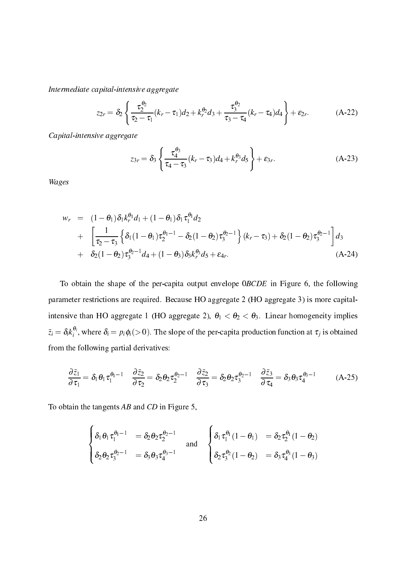Intermediate apital-intensive aggregate

$$
z_{2r} = \delta_2 \left\{ \frac{\tau_2^{\theta_2}}{\tau_2 - \tau_1} (k_r - \tau_1) d_2 + k_r^{\theta_2} d_3 + \frac{\tau_3^{\theta_2}}{\tau_3 - \tau_4} (k_r - \tau_4) d_4 \right\} + \varepsilon_{2r}.
$$
 (A-22)

Capital-intensive aggregate

$$
z_{3r} = \delta_3 \left\{ \frac{\tau_4^{\theta_3}}{\tau_4 - \tau_3} (k_r - \tau_3) d_4 + k_r^{\theta_3} d_5 \right\} + \varepsilon_{3r}.
$$
 (A-23)

Wages

$$
w_r = (1 - \theta_1) \delta_1 k_r^{\theta_1} d_1 + (1 - \theta_1) \delta_1 \tau_1^{\theta_1} d_2
$$
  
+ 
$$
\left[ \frac{1}{\tau_2 - \tau_3} \left\{ \delta_1 (1 - \theta_1) \tau_2^{\theta_1 - 1} - \delta_2 (1 - \theta_2) \tau_3^{\theta_2 - 1} \right\} (k_r - \tau_3) + \delta_2 (1 - \theta_2) \tau_3^{\theta_2 - 1} \right] d_3
$$
  
+ 
$$
\delta_2 (1 - \theta_2) \tau_3^{\theta_2 - 1} d_4 + (1 - \theta_3) \delta_3 k_r^{\theta_3} d_5 + \varepsilon_4 r.
$$
 (A-24)

To obtain the shape of the per-capita output envelope 0BCDE in Figure 6, the following parameter restrictions are required. Because HO aggregate 2 (HO aggregate 3) is more capitalintensive than HO aggregate 1 (HO aggregate 2),  $\theta_1 < \theta_2 < \theta_3$ . Linear homogeneity implies  $z_i = o_i$ <sub>k</sub>;  $\mathbf{p}$ , where  $\mathbf{p}$  is pifitheneous of the per-dimension function function  $\mathbf{p}$  is obtained at the perfrom the following partial derivatives:

$$
\frac{\partial \tilde{z}_1}{\partial \tau_1} = \delta_1 \theta_1 \tau_1^{\theta_1 - 1} \quad \frac{\partial \tilde{z}_2}{\partial \tau_2} = \delta_2 \theta_2 \tau_2^{\theta_2 - 1} \quad \frac{\partial \tilde{z}_2}{\partial \tau_3} = \delta_2 \theta_2 \tau_3^{\theta_2 - 1} \quad \frac{\partial \tilde{z}_3}{\partial \tau_4} = \delta_3 \theta_3 \tau_4^{\theta_3 - 1} \quad (A-25)
$$

To obtain the tangents  $AB$  and  $CD$  in Figure 5,

$$
\begin{cases} \delta_1 \theta_1 \tau_1^{\theta_1 - 1} &= \delta_2 \theta_2 \tau_2^{\theta_2 - 1} \\ \delta_2 \theta_2 \tau_3^{\theta_2 - 1} &= \delta_3 \theta_3 \tau_4^{\theta_3 - 1} \end{cases} \text{ and } \begin{cases} \delta_1 \tau_1^{\theta_1} (1 - \theta_1) &= \delta_2 \tau_2^{\theta_1} (1 - \theta_2) \\ \delta_2 \tau_3^{\theta_2} (1 - \theta_2) &= \delta_3 \tau_4^{\theta_3} (1 - \theta_3) \end{cases}
$$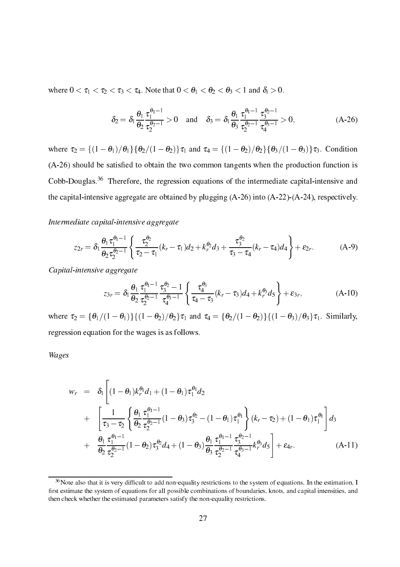where  $0 < \tau_1 < \tau_2 < \tau_3 < \tau_4$ . Note that  $0 < \theta_1 < \theta_2 < \theta_3 < 1$  and  $\delta_i > 0$ .

$$
\delta_2 = \delta_1 \frac{\theta_1}{\theta_2} \frac{\tau_1^{\theta_1 - 1}}{\tau_2^{\theta_2 - 1}} > 0 \quad \text{and} \quad \delta_3 = \delta_1 \frac{\theta_1}{\theta_3} \frac{\tau_1^{\theta_1 - 1}}{\tau_2^{\theta_2 - 1}} \frac{\tau_3^{\theta_2 - 1}}{\tau_4^{\theta_3 - 1}} > 0,
$$
\n(A-26)

where  $\tau_2 = \left\{ (1 - \theta_1)/\theta_1 \right\} {\theta_2/(1 - \theta_2)} \tau_1$  and  $\tau_4 = \left\{ (1 - \theta_2)/\theta_2 \right\} {\theta_3/(1 - \theta_3)} \tau_3$ . Condition  $\mathcal{A}$  are satisfactorized be satisfactorized be satisfactorized by two  $\mathcal{A}$ Cobb-Douglas.<sup>36</sup> Therefore, the regression equations of the intermediate capital-intensive and the capital-intensive aggregate are obtained by plugging (A-26) into (A-22)-(A-24), respectively.

## Intermediate apital-intensive aggregate

$$
z_{2r} = \delta_1 \frac{\theta_1 \tau_1^{\theta_1 - 1}}{\theta_2 \tau_2^{\theta_2 - 1}} \left\{ \frac{\tau_2^{\theta_2}}{\tau_2 - \tau_1} (k_r - \tau_1) d_2 + k_r^{\theta_2} d_3 + \frac{\tau_3^{\theta_2}}{\tau_3 - \tau_4} (k_r - \tau_4) d_4 \right\} + \varepsilon_{2r}.
$$
 (A-9)

Capital-intensive aggregate

$$
z_{3r} = \delta_1 \frac{\theta_1}{\theta_2} \frac{\tau_1^{\theta_1 - 1}}{\tau_2^{\theta_2 - 1}} \frac{\tau_3^{\theta_2} - 1}{\tau_4^{\theta_3 - 1}} \left\{ \frac{\tau_4^{\theta_3}}{\tau_4 - \tau_3} (k_r - \tau_3) d_4 + k_r^{\theta_3} d_5 \right\} + \varepsilon_{3r}, \tag{A-10}
$$

where  $\tau_2 = {\theta_1/(1 - \theta_1)}({1 - \theta_2)/\theta_2}\tau_1$  and  $\tau_4 = {\theta_2/(1 - \theta_2)}({1 - \theta_3)/\theta_3}\tau_1$ . Similarly, regression equation for the wages is as follows.

Wages

$$
w_r = \delta_1 \left[ (1 - \theta_1) k_r^{\theta_1} d_1 + (1 - \theta_1) \tau_1^{\theta_1} d_2 + \left[ \frac{1}{\tau_3 - \tau_2} \left\{ \frac{\theta_1}{\theta_2} \frac{\tau_1^{\theta_1 - 1}}{\tau_2^{\theta_2 - 1}} (1 - \theta_3) \tau_3^{\theta_2} - (1 - \theta_1) \tau_1^{\theta_1} \right\} (k_r - \tau_2) + (1 - \theta_1) \tau_1^{\theta_1} \right] d_3 + \frac{\theta_1}{\theta_2} \frac{\tau_1^{\theta_1 - 1}}{\tau_2^{\theta_2 - 1}} (1 - \theta_2) \tau_3^{\theta_2} d_4 + (1 - \theta_3) \frac{\theta_1}{\theta_3} \frac{\tau_1^{\theta_1 - 1}}{\tau_2^{\theta_2 - 1}} \frac{\tau_3^{\theta_2 - 1}}{\tau_4^{\theta_3 - 1}} k_r^{\theta_3} d_5 \right] + \varepsilon_{4r}.
$$
 (A-11)

 $\sim$  Note also that it is very difficult to add non-equality restrictions to the system of equations. In the estimation, I -rst estimate the system of equations for all possible ombinations of boundaries, knots, and apital intensities, and then check whether the estimated parameters satisfy the non-equality restrictions.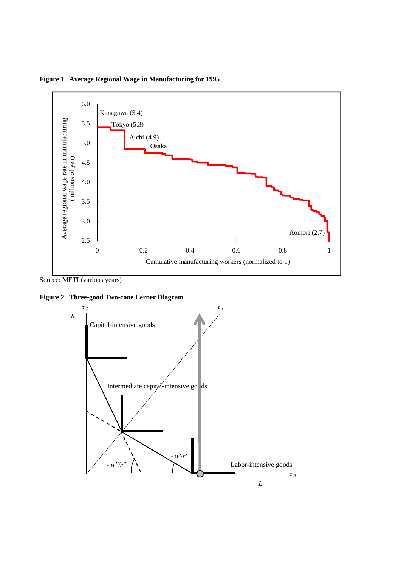

**Figure 1. Average Regional Wage in Manufacturing for 1995**

Source: METI (various years)

**Figure 2. Three-good Two-cone Lerner Diagram**

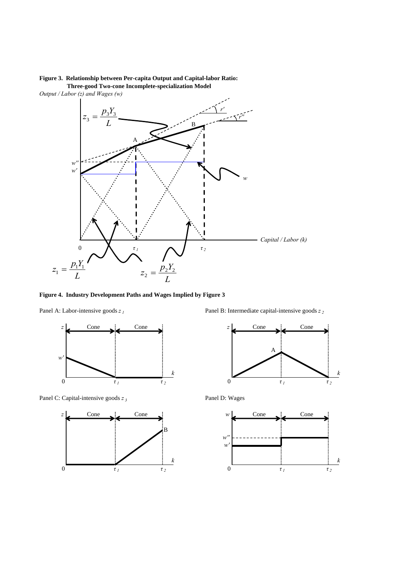### **Figure 3. Relationship between Per-capita Output and Capital-labor Ratio: Three-good Two-cone Incomplete-specialization Model**



**Figure 4. Industry Development Paths and Wages Implied by Figure 3**



Panel C: Capital-intensive goods  $z_3$  Panel D: Wages



Panel A: Labor-intensive goods *z 1* Panel B: Intermediate capital-intensive goods *z 2* 



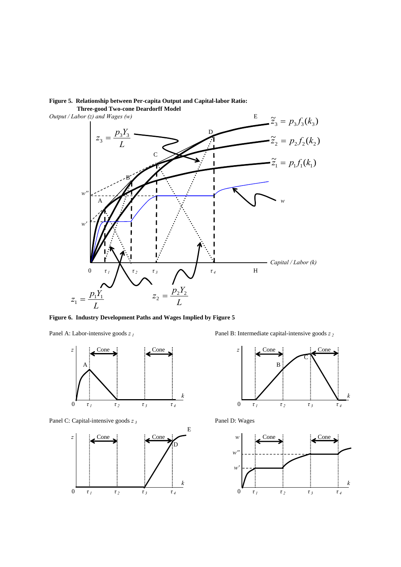

### **Figure 5. Relationship between Per-capita Output and Capital-labor Ratio: Three-good Two-cone Deardorff Model**

**Figure 6. Industry Development Paths and Wages Implied by Figure 5**



Panel C: Capital-intensive goods *z <sup>3</sup>*



Panel A: Labor-intensive goods *z 1* Panel B: Intermediate capital-intensive goods *z 2* 



Panel D: Wages

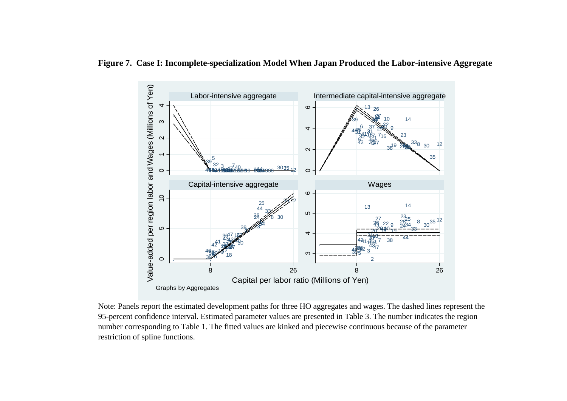

**Figure 7. Case I: Incomplete-specialization Model When Japan Produced the Labor-intensive Aggregate**

Note: Panels report the estimated development paths for three HO aggregates and wages. The dashed lines represent the 95-percent confidence interval. Estimated parameter values are presented in Table 3. The number indicates the region restriction of spline functions. number corresponding to Table 1. The fitted values are kinked and piecewise continuous because of the parameter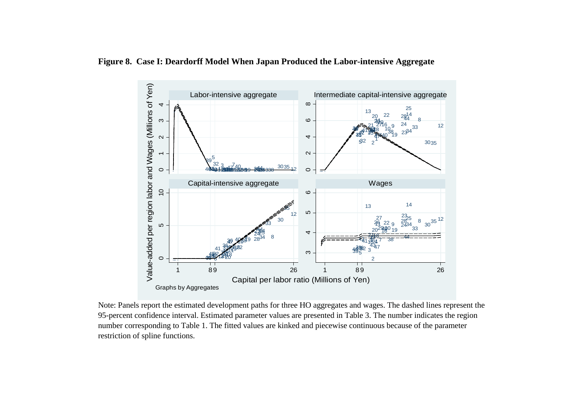

**Figure 8. Case I: Deardorff Model When Japan Produced the Labor-intensive Aggregate**

Note: Panels report the estimated development paths for three HO aggregates and wages. The dashed lines represent the 95-percent confidence interval. Estimated parameter values are presented in Table 3. The number indicates the region number corresponding to Table 1. The fitted values are kinked and piecewise continuous because of the parameter restriction of spline functions.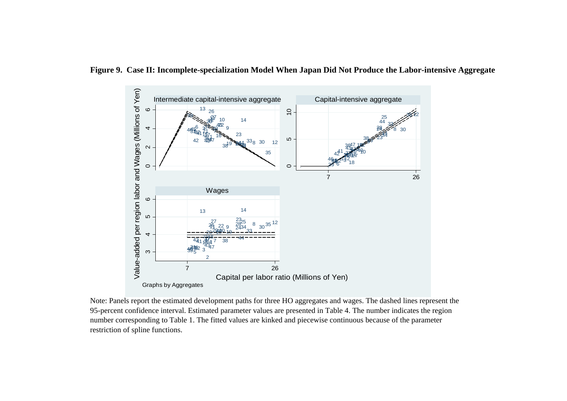

**Figure 9. Case II: Incomplete-specialization Model When Japan Did Not Produce the Labor-intensive Aggregate**

Note: Panels report the estimated development paths for three HO aggregates and wages. The dashed lines represent the 95-percent confidence interval. Estimated parameter values are presented in Table 4. The number indicates the region number corresponding to Table 1. The fitted values are kinked and piecewise continuous because of the parameter restriction of spline functions.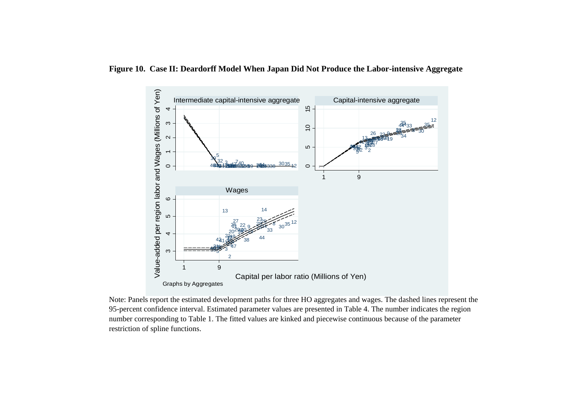

Note: Panels report the estimated development paths for three HO aggregates and wages. The dashed lines represent the 95-percent confidence interval. Estimated parameter values are presented in Table 4. The number indicates the region number corresponding to Table 1. The fitted values are kinked and piecewise continuous because of the parameter restriction of spline functions.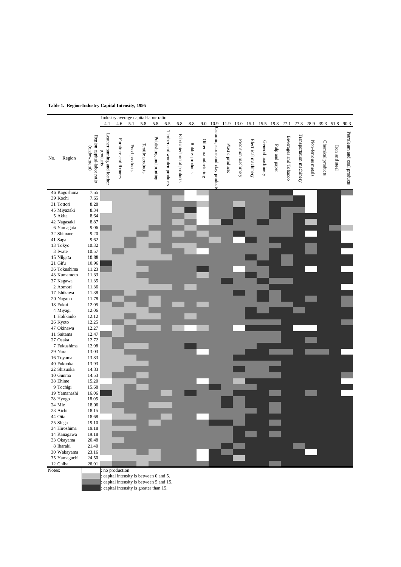### **Table 1. Region-Industry Capital Intensity, 1995**

|                           |                                           |                                         |                        |               | Industry average capital-labor ratio |                         |                            |                           |                 |                     |                                 |                  |                     |                      |                   |                |                       |                          |                    |                   |                |                             |
|---------------------------|-------------------------------------------|-----------------------------------------|------------------------|---------------|--------------------------------------|-------------------------|----------------------------|---------------------------|-----------------|---------------------|---------------------------------|------------------|---------------------|----------------------|-------------------|----------------|-----------------------|--------------------------|--------------------|-------------------|----------------|-----------------------------|
|                           |                                           | 4.1                                     | 4.6                    | 5.1           | 5.8                                  | 5.8                     | 6.5                        | 6.8                       | 8.8             | 9.0                 | 10.9                            |                  | 11.9 13.0 15.1      |                      | 15.5              | 19.8           | 27.1                  | 27.3                     |                    | 28.9 39.3 51.8    |                | 90.3                        |
|                           | Region capital-labor ratio<br>(endowment) | Leather tanning and leather<br>products | Furniture and fixtures | Food products | Textile products                     | Publishing and printing | Timber and wooden products | Fabricated metal products | Rubber products | Other manufacturing | Ceramic, stone and clay product | Plastic products | Precision machinery | Electrical machinery | General machinery | Pulp and paper | Beverages and Tobacco | Transportation machinery | Non-ferrous metals | Chemical products | Iron and steel | Petroleum and coal products |
| Region<br>No.             |                                           |                                         |                        |               |                                      |                         |                            |                           |                 |                     |                                 |                  |                     |                      |                   |                |                       |                          |                    |                   |                |                             |
|                           |                                           |                                         |                        |               |                                      |                         |                            |                           |                 |                     |                                 |                  |                     |                      |                   |                |                       |                          |                    |                   |                |                             |
|                           |                                           |                                         |                        |               |                                      |                         |                            |                           |                 |                     |                                 |                  |                     |                      |                   |                |                       |                          |                    |                   |                |                             |
|                           |                                           |                                         |                        |               |                                      |                         |                            |                           |                 |                     |                                 |                  |                     |                      |                   |                |                       |                          |                    |                   |                |                             |
|                           |                                           |                                         |                        |               |                                      |                         |                            |                           |                 |                     |                                 |                  |                     |                      |                   |                |                       |                          |                    |                   |                |                             |
| 46 Kagoshima              | 7.55                                      |                                         |                        |               |                                      |                         |                            |                           |                 |                     |                                 |                  |                     |                      |                   |                |                       |                          |                    |                   |                |                             |
| 39 Kochi                  | 7.65                                      |                                         |                        |               |                                      |                         |                            |                           |                 |                     |                                 |                  |                     |                      |                   |                |                       |                          |                    |                   |                |                             |
| 31 Tottori                | 8.28                                      |                                         |                        |               |                                      |                         |                            |                           |                 |                     |                                 |                  |                     |                      |                   |                |                       |                          |                    |                   |                |                             |
| 45 Miyazaki               | 8.34                                      |                                         |                        |               |                                      |                         |                            |                           |                 |                     |                                 |                  |                     |                      |                   |                |                       |                          |                    |                   |                |                             |
| 5 Akita                   | 8.64                                      |                                         |                        |               |                                      |                         |                            |                           |                 |                     |                                 |                  |                     |                      |                   |                |                       |                          |                    |                   |                |                             |
| 42 Nagasaki<br>6 Yamagata | 8.87<br>9.06                              |                                         |                        |               |                                      |                         |                            |                           |                 |                     |                                 |                  |                     |                      |                   |                |                       |                          |                    |                   |                |                             |
| 32 Shimane                | 9.20                                      |                                         |                        |               |                                      |                         |                            |                           |                 |                     |                                 |                  |                     |                      |                   |                |                       |                          |                    |                   |                |                             |
| 41 Saga                   | 9.62                                      |                                         |                        |               |                                      |                         |                            |                           |                 |                     |                                 |                  |                     |                      |                   |                |                       |                          |                    |                   |                |                             |
| 13 Tokyo                  | 10.32                                     |                                         |                        |               |                                      |                         |                            |                           |                 |                     |                                 |                  |                     |                      |                   |                |                       |                          |                    |                   |                |                             |
| 3 Iwate                   | 10.57                                     |                                         |                        |               |                                      |                         |                            |                           |                 |                     |                                 |                  |                     |                      |                   |                |                       |                          |                    |                   |                |                             |
| 15 Niigata                | 10.88                                     |                                         |                        |               |                                      |                         |                            |                           |                 |                     |                                 |                  |                     |                      |                   |                |                       |                          |                    |                   |                |                             |
| 21 Gifu                   | 10.96                                     |                                         |                        |               |                                      |                         |                            |                           |                 |                     |                                 |                  |                     |                      |                   |                |                       |                          |                    |                   |                |                             |
| 36 Tokushima              | 11.23                                     |                                         |                        |               |                                      |                         |                            |                           |                 |                     |                                 |                  |                     |                      |                   |                |                       |                          |                    |                   |                |                             |
| 43 Kumamoto               | 11.33                                     |                                         |                        |               |                                      |                         |                            |                           |                 |                     |                                 |                  |                     |                      |                   |                |                       |                          |                    |                   |                |                             |
| 37 Kagawa                 | 11.35                                     |                                         |                        |               |                                      |                         |                            |                           |                 |                     |                                 |                  |                     |                      |                   |                |                       |                          |                    |                   |                |                             |
| 2 Aomori                  | 11.36                                     |                                         |                        |               |                                      |                         |                            |                           |                 |                     |                                 |                  |                     |                      |                   |                |                       |                          |                    |                   |                |                             |
| 17 Ishikawa               | 11.38                                     |                                         |                        |               |                                      |                         |                            |                           |                 |                     |                                 |                  |                     |                      |                   |                |                       |                          |                    |                   |                |                             |
| 20 Nagano                 | 11.78                                     |                                         |                        |               |                                      |                         |                            |                           |                 |                     |                                 |                  |                     |                      |                   |                |                       |                          |                    |                   |                |                             |
| 18 Fukui                  | 12.05<br>12.06                            |                                         |                        |               |                                      |                         |                            |                           |                 |                     |                                 |                  |                     |                      |                   |                |                       |                          |                    |                   |                |                             |
| 4 Miyagi<br>1 Hokkaido    | 12.12                                     |                                         |                        |               |                                      |                         |                            |                           |                 |                     |                                 |                  |                     |                      |                   |                |                       |                          |                    |                   |                |                             |
| 26 Kyoto                  | 12.25                                     |                                         |                        |               |                                      |                         |                            |                           |                 |                     |                                 |                  |                     |                      |                   |                |                       |                          |                    |                   |                |                             |
| 47 Okinawa                | 12.27                                     |                                         |                        |               |                                      |                         |                            |                           |                 |                     |                                 |                  |                     |                      |                   |                |                       |                          |                    |                   |                |                             |
| 11 Saitama                | 12.47                                     |                                         |                        |               |                                      |                         |                            |                           |                 |                     |                                 |                  |                     |                      |                   |                |                       |                          |                    |                   |                |                             |
| 27 Osaka                  | 12.72                                     |                                         |                        |               |                                      |                         |                            |                           |                 |                     |                                 |                  |                     |                      |                   |                |                       |                          |                    |                   |                |                             |
| 7 Fukushima               | 12.98                                     |                                         |                        |               |                                      |                         |                            |                           |                 |                     |                                 |                  |                     |                      |                   |                |                       |                          |                    |                   |                |                             |
| 29 Nara                   | 13.03                                     |                                         |                        |               |                                      |                         |                            |                           |                 |                     |                                 |                  |                     |                      |                   |                |                       |                          |                    |                   |                |                             |
| 16 Toyama                 | 13.83                                     |                                         |                        |               |                                      |                         |                            |                           |                 |                     |                                 |                  |                     |                      |                   |                |                       |                          |                    |                   |                |                             |
| 40 Fukuoka                | 13.93                                     |                                         |                        |               |                                      |                         |                            |                           |                 |                     |                                 |                  |                     |                      |                   |                |                       |                          |                    |                   |                |                             |
| 22 Shizuoka               | 14.33                                     |                                         |                        |               |                                      |                         |                            |                           |                 |                     |                                 |                  |                     |                      |                   |                |                       |                          |                    |                   |                |                             |
| 10 Gunma                  | 14.53                                     |                                         |                        |               |                                      |                         |                            |                           |                 |                     |                                 |                  |                     |                      |                   |                |                       |                          |                    |                   |                |                             |
| 38 Ehime                  | 15.20                                     |                                         |                        |               |                                      |                         |                            |                           |                 |                     |                                 |                  |                     |                      |                   |                |                       |                          |                    |                   |                |                             |
| 9 Tochigi<br>19 Yamanashi | 15.68<br>16.06                            |                                         |                        |               |                                      |                         |                            |                           |                 |                     |                                 |                  |                     |                      |                   |                |                       |                          |                    |                   |                |                             |
| 28 Hyogo                  | 18.05                                     |                                         |                        |               |                                      |                         |                            |                           |                 |                     |                                 |                  |                     |                      |                   |                |                       |                          |                    |                   |                |                             |
| 24 Mie                    | 18.06                                     |                                         |                        |               |                                      |                         |                            |                           |                 |                     |                                 |                  |                     |                      |                   |                |                       |                          |                    |                   |                |                             |
| 23 Aichi                  | 18.15                                     |                                         |                        |               |                                      |                         |                            |                           |                 |                     |                                 |                  |                     |                      |                   |                |                       |                          |                    |                   |                |                             |
| 44 Oita                   | 18.68                                     |                                         |                        |               |                                      |                         |                            |                           |                 |                     |                                 |                  |                     |                      |                   |                |                       |                          |                    |                   |                |                             |
| 25 Shiga                  | 19.10                                     |                                         |                        |               |                                      |                         |                            |                           |                 |                     |                                 |                  |                     |                      |                   |                |                       |                          |                    |                   |                |                             |
| 34 Hiroshima              | 19.18                                     |                                         |                        |               |                                      |                         |                            |                           |                 |                     |                                 |                  |                     |                      |                   |                |                       |                          |                    |                   |                |                             |
| 14 Kanagawa               | 19.18                                     |                                         |                        |               |                                      |                         |                            |                           |                 |                     |                                 |                  |                     |                      |                   |                |                       |                          |                    |                   |                |                             |
| 33 Okayama                | 20.48                                     |                                         |                        |               |                                      |                         |                            |                           |                 |                     |                                 |                  |                     |                      |                   |                |                       |                          |                    |                   |                |                             |
| 8 Ibaraki                 | 21.40                                     |                                         |                        |               |                                      |                         |                            |                           |                 |                     |                                 |                  |                     |                      |                   |                |                       |                          |                    |                   |                |                             |
| 30 Wakayama               | 23.16                                     |                                         |                        |               |                                      |                         |                            |                           |                 |                     |                                 |                  |                     |                      |                   |                |                       |                          |                    |                   |                |                             |
| 35 Yamaguchi              | 24.50                                     |                                         |                        |               |                                      |                         |                            |                           |                 |                     |                                 |                  |                     |                      |                   |                |                       |                          |                    |                   |                |                             |
| 12 Chiba<br>Notes:        | 26.01                                     | : no production                         |                        |               |                                      |                         |                            |                           |                 |                     |                                 |                  |                     |                      |                   |                |                       |                          |                    |                   |                |                             |
|                           |                                           |                                         |                        |               |                                      |                         |                            |                           |                 |                     |                                 |                  |                     |                      |                   |                |                       |                          |                    |                   |                |                             |

2.27021 : capital intensity is greater than 15. 0.67107 : capital intensity is between 0 and 5. 1.883 : capital intensity is between 5 and 15.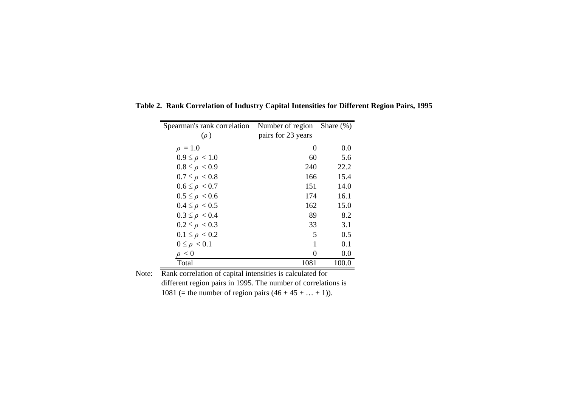| Spearman's rank correlation | Number of region   | Share $(\%)$ |
|-----------------------------|--------------------|--------------|
| $(\rho)$                    | pairs for 23 years |              |
| $\rho = 1.0$                | $\Omega$           | 0.0          |
| $0.9 \leq \rho < 1.0$       | 60                 | 5.6          |
| $0.8 \leq \rho < 0.9$       | 240                | 22.2         |
| $0.7 \leq \rho < 0.8$       | 166                | 15.4         |
| $0.6 \leq \rho < 0.7$       | 151                | 14.0         |
| $0.5 \leq \rho < 0.6$       | 174                | 16.1         |
| $0.4 \leq \rho < 0.5$       | 162                | 15.0         |
| $0.3 \leq \rho < 0.4$       | 89                 | 8.2          |
| $0.2 \leq \rho < 0.3$       | 33                 | 3.1          |
| $0.1 \leq \rho < 0.2$       | 5                  | 0.5          |
| $0 \leq \rho < 0.1$         | 1                  | 0.1          |
| $\rho < 0$                  | 0                  | 0.0          |
| Total                       | 1081               | 100.0        |

**Table 2. Rank Correlation of Industry Capital Intensities for Different Region Pairs, 1995**

Note: Rank correlation of capital intensities is calculated for different region pairs in 1995. The number of correlations is 1081 (= the number of region pairs  $(46 + 45 + ... + 1)$ ).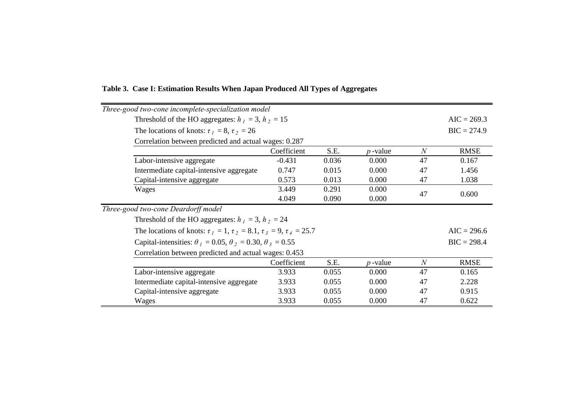| Three-good two-cone incomplete-specialization model |                                                                                        |                |               |            |                |             |  |  |  |  |
|-----------------------------------------------------|----------------------------------------------------------------------------------------|----------------|---------------|------------|----------------|-------------|--|--|--|--|
|                                                     | Threshold of the HO aggregates: $h_1 = 3$ , $h_2 = 15$                                 |                |               |            |                |             |  |  |  |  |
|                                                     | The locations of knots: $\tau_1 = 8$ , $\tau_2 = 26$                                   |                |               |            |                |             |  |  |  |  |
|                                                     | Correlation between predicted and actual wages: 0.287                                  |                |               |            |                |             |  |  |  |  |
|                                                     |                                                                                        | $\overline{N}$ | <b>RMSE</b>   |            |                |             |  |  |  |  |
|                                                     | Labor-intensive aggregate                                                              | $-0.431$       | 0.036         | 0.000      | 47             | 0.167       |  |  |  |  |
|                                                     | Intermediate capital-intensive aggregate                                               | 0.747          | 0.015         | 0.000      | 47             | 1.456       |  |  |  |  |
|                                                     | Capital-intensive aggregate                                                            | 0.573          | 0.013         | 0.000      | 47             | 1.038       |  |  |  |  |
|                                                     | Wages                                                                                  | 3.449          | 0.291         | 0.000      | 47             | 0.600       |  |  |  |  |
|                                                     |                                                                                        | 4.049          | 0.090         | 0.000      |                |             |  |  |  |  |
| Three-good two-cone Deardorff model                 |                                                                                        |                |               |            |                |             |  |  |  |  |
|                                                     | Threshold of the HO aggregates: $h_1 = 3$ , $h_2 = 24$                                 |                |               |            |                |             |  |  |  |  |
|                                                     | The locations of knots: $\tau_1 = 1$ , $\tau_2 = 8.1$ , $\tau_3 = 9$ , $\tau_4 = 25.7$ |                |               |            |                |             |  |  |  |  |
|                                                     | Capital-intensities: $\theta_1 = 0.05$ , $\theta_2 = 0.30$ , $\theta_3 = 0.55$         |                | $BIC = 298.4$ |            |                |             |  |  |  |  |
|                                                     | Correlation between predicted and actual wages: 0.453                                  |                |               |            |                |             |  |  |  |  |
|                                                     |                                                                                        | Coefficient    | S.E.          | $p$ -value | $\overline{N}$ | <b>RMSE</b> |  |  |  |  |
|                                                     | Labor-intensive aggregate                                                              | 3.933          | 0.055         | 0.000      | 47             | 0.165       |  |  |  |  |
|                                                     | Intermediate capital-intensive aggregate                                               | 3.933          | 0.055         | 0.000      | 47             | 2.228       |  |  |  |  |
|                                                     | Capital-intensive aggregate                                                            | 3.933          | 0.055         | 0.000      | 47             | 0.915       |  |  |  |  |
|                                                     | Wages                                                                                  | 3.933          | 0.055         | 0.000      | 47             | 0.622       |  |  |  |  |

# **Table 3. Case I: Estimation Results When Japan Produced All Types of Aggregates**